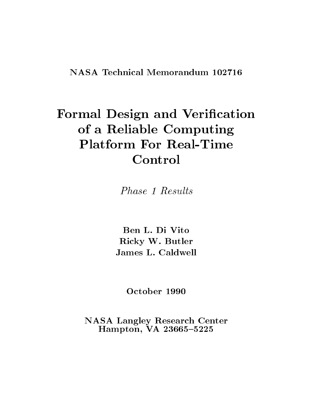# e vaar des volken van van de van de volke van de v of a Reliable Computing Computing Computing Computing Computing Computing Computing Computing Computing Computing Computing Computing Computing Computing Computing Computing Computing Computing Computing Computing Computin **Platform For Real-Time** Control

Phase 1 Results Phase 1 Results

Ben L. Di Vito Ricky W. Butler James L. Caldwell

NASA Langley Research Center Hampton, VA 23665-5225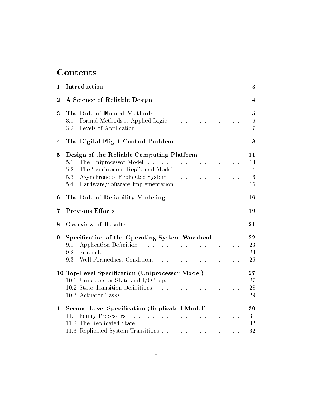## **Contents**

| $\mathbf 1$             | Introduction                                                                                                                                                                                            | 3                                     |
|-------------------------|---------------------------------------------------------------------------------------------------------------------------------------------------------------------------------------------------------|---------------------------------------|
| $\boldsymbol{2}$        | A Science of Reliable Design                                                                                                                                                                            | 4                                     |
| 3                       | The Role of Formal Methods<br>Formal Methods is Applied Logic<br>3.1<br>3.2                                                                                                                             | $\overline{5}$<br>6<br>$\overline{7}$ |
| $\overline{\mathbf{4}}$ | The Digital Flight Control Problem                                                                                                                                                                      | 8                                     |
| $\mathbf{5}$            | Design of the Reliable Computing Platform<br>5.1<br>The Synchronous Replicated Model<br>5.2<br>5.3<br>Asynchronous Replicated System<br>Hardware/Software Implementation<br>5.4                         | 11<br>13<br>14<br>16<br>16            |
| 6                       | The Role of Reliability Modeling                                                                                                                                                                        | 16                                    |
| 7                       | <b>Previous Efforts</b>                                                                                                                                                                                 | 19                                    |
| 8                       | <b>Overview of Results</b>                                                                                                                                                                              | 21                                    |
| 9                       | Specification of the Operating System Workload<br>9.1<br>Schedules<br>9.2<br>9.3                                                                                                                        | 22<br>23<br>23<br>26                  |
|                         | 10 Top-Level Specification (Uniprocessor Model)<br>10.1 Uniprocessor State and I/O Types<br>والمتعاون والمتعاون والمتعاون والمتعاونة والمتعاونة والمتعاونة والمتعاونة والمتعاونة<br>10.3 Actuator Tasks | 27<br>27<br>28<br>29                  |
|                         | 11 Second Level Specification (Replicated Model)                                                                                                                                                        | 30<br>31<br>32<br>32                  |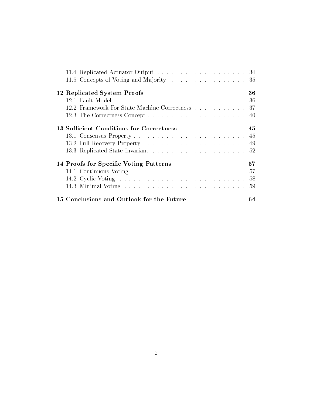| 11.5 Concepts of Voting and Majority 35      |     |
|----------------------------------------------|-----|
| 12 Replicated System Proofs                  | 36  |
|                                              | -36 |
| 12.2 Framework For State Machine Correctness | -37 |
|                                              |     |
| 13 Sufficient Conditions for Correctness     | 45  |
|                                              |     |
|                                              | 49  |
|                                              | .52 |
| 14 Proofs for Specific Voting Patterns       | 57  |
| 14.1 Continuous Voting                       | 57  |
|                                              | 58  |
|                                              | 59  |
| 15 Conclusions and Outlook for the Future    | 64  |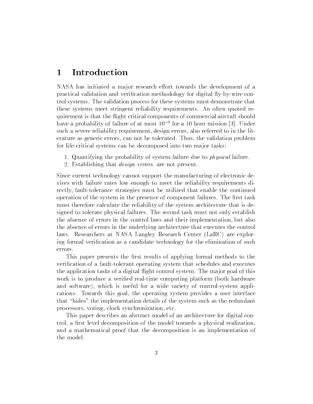## 1 Introduction

NASA has initiated a major research effort towards the development of a practical validation and verification methodology for digital fly-by-wire control systems. The validation process for these systems must demonstrate that these systems meet stringent reliability requirements. An often quoted requirement is that the flight critical components of commercial aircraft should have a probability of failure of at most 109 for a 10 hour mission [3]. Under such a severe reliability requirement, design errors, also referred to in the literature as generic errors, can not be tolerated. Thus, the validation problem for life-critical systems can be decomposed into two major tasks:

- 1. Quantifying the probability of system failure due to physical failure.
- 2. Establishing that *design errors* are not present.

Since current technology cannot support the manufacturing of electronic devices with failure rates low enough to meet the reliability requirements directly, fault-tolerance strategies must be utilized that enable the continued operation of the system in the presence of component failures. The first task must therefore calculate the reliability of the system architecture that is designed to tolerate physical failures. The second task must not only establish the absence of errors in the control laws and their implementation, but also the absence of errors in the underlying architecture that executes the control laws. Researchers at NASA Langley Research Center (LaRC) are exploring formal verification as a candidate technology for the elimination of such errors.

This paper presents the first results of applying formal methods to the verication of a fault-tolerant operating system that schedules and executes the application tasks of a digital flight control system. The major goal of this work is to produce a verified real-time computing platform (both hardware and software), which is useful for a wide variety of control-system applications. Towards this goal, the operating system provides a user interface that "hides" the implementation details of the system such as the redundant processors, voting, clock synchronization, etc.

This paper describes an abstract model of an architecture for digital control, a first level decomposition of the model towards a physical realization. and a mathematical proof that the decomposition is an implementation of the model.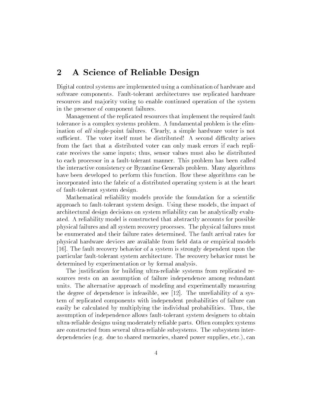## 2 A Science of Reliable Design

Digital control systems are implemented using a combination of hardware and software components. Fault-tolerant architectures use replicated hardware resources and ma jority voting to enable continued operation of the system in the presence of component failures.

Management of the replicated resources that implement the required fault tolerance is a complex systems problem. A fundamental problem is the elimination of all single-point failures. Clearly, a simple hardware voter is not sufficient. The voter itself must be distributed! A second difficulty arises from the fact that a distributed voter can only mask errors if each replicate receives the same inputs; thus, sensor values must also be distributed to each processor in a fault-tolerant manner. This problem has been called the interactive consistency or Byzantine Generals problem. Many algorithms have been developed to perform this function. How these algorithms can be incorporated into the fabric of a distributed operating system is at the heart of fault-tolerant system design.

Mathematical reliability models provide the foundation for a scientific approach to fault-tolerant system design. Using these models, the impact of architectural design decisions on system reliability can be analytically evaluated. A reliability model is constructed that abstractly accounts for possible physical failures and all system recovery processes. The physical failures must be enumerated and their failure rates determined. The fault arrival rates for physical hardware devices are available from field data or empirical models [16]. The fault recovery behavior of a system is strongly dependent upon the particular fault-tolerant system architecture. The recovery behavior must be determined by experimentation or by formal analysis.

The justication for building ultra-reliable systems from replicated resources rests on an assumption of failure independence among redundant units. The alternative approach of modeling and experimentally measuring the degree of dependence is infeasible, see [12]. The unreliability of a system of replicated components with independent probabilities of failure can easily be calculated by multiplying the individual probabilities. Thus, the assumption of independence allows fault-tolerant system designers to obtain ultra-reliable designs using moderately reliable parts. Often complex systems are constructed from several ultra-reliable subsystems. The subsystem interdependencies (e.g. due to shared memories, shared power supplies, etc.), can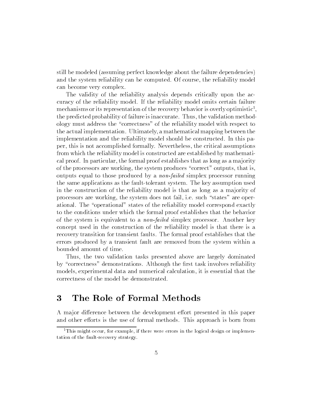still be modeled (assuming perfect knowledge about the failure dependencies) and the system reliability can be computed. Of course, the reliability model can become very complex.

The validity of the reliability analysis depends critically upon the accuracy of the reliability model. If the reliability model omits certain failure  $m$ echaliisms or its representation of the recovery behavior is overly optimistic $\cdot$ , the predicted probability of failure is inaccurate. Thus, the validation methodology must address the \correctness" of the reliability model with respect to the actual implementation. Ultimately, a mathematical mapping between the implementation and the reliability model should be constructed. In this paper, this is not accomplished formally. Nevertheless, the critical assumptions from which the reliability model is constructed are established by mathematical proof. In particular, the formal proof establishes that as long as a ma jority of the processors are working, the system produces "correct" outputs, that is, outputs equal to those produced by a non-failed simplex processor running the same applications as the fault-tolerant system. The key assumption used in the construction of the reliability model is that as long as a ma jority of processors are working, the system does not fail, i.e. such \states" are operational. The "operational" states of the reliability model correspond exactly to the conditions under which the formal proof establishes that the behavior of the system is equivalent to a non-failed simplex processor. Another key concept used in the construction of the reliability model is that there is a recovery transition for transient faults. The formal proof establishes that the errors produced by a transient fault are removed from the system within a bounded amount of time.

Thus, the two validation tasks presented above are largely dominated by "correctness" demonstrations. Although the first task involves reliability models, experimental data and numerical calculation, it is essential that the correctness of the model be demonstrated.

## 3 The Role of Formal Methods

A major difference between the development effort presented in this paper and other efforts is the use of formal methods. This approach is born from

<sup>&</sup>lt;sup>1</sup>This might occur, for example, if there were errors in the logical design or implementation of the fault-recovery strategy.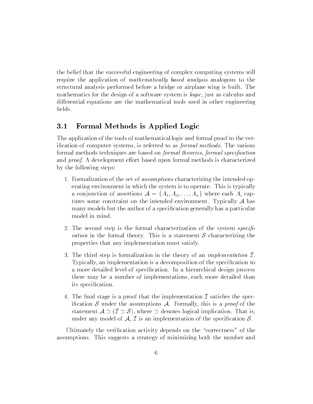the belief that the successful engineering of complex computing systems will require the application of *mathematically based analysis* analogous to the structural analysis performed before a bridge or airplane wing is built. The mathematics for the design of a software system is logic, just as calculus and differential equations are the mathematical tools used in other engineering fields.

### 3.1 Formal Methods is Applied Logic

The application of the tools of mathematical logic and formal proof to the verification of computer systems, is referred to as *formal methods*. The various formal methods techniques are based on *formal theories, formal specification* and *proof*. A development effort based upon formal methods is characterized by the following steps:

- 1. Formalization of the set of assumptions characterizing the intended operating environment in which the system is to operate. This is typically a conjunction of assertions  $\mathcal{A} = \{A_1, A_2, \ldots, A_n\}$  where each  $A_i$  captures some constraint on the intended environment. Typically  $A$  has many models but the author of a specification generally has a particular model in mind.
- 2. The second step is the formal characterization of the system specifi*cation* in the formal theory. This is a statement S characterizing the properties that any implementation must satisfy.
- 3. The third step is formalization in the theory of an *implementation*  $I$ . Typically, an implementation is a decomposition of the specication to a more detailed level of specication. In a hierarchical design process there may be a number of implementations, each more detailed than its specification.
- 4. The final stage is a proof that the implementation  $\mathcal I$  satisfies the specification S under the assumptions A. Formally, this is a proof of the statement  $A \supset (\mathcal{I} \supset \mathcal{S})$ , where  $\supset$  denotes logical implication. That is, under any model of A,  $\mathcal I$  is an implementation of the specification  $\mathcal S$ .

Ultimately the verification activity depends on the "correctness" of the assumptions. This suggests a strategy of minimizing both the number and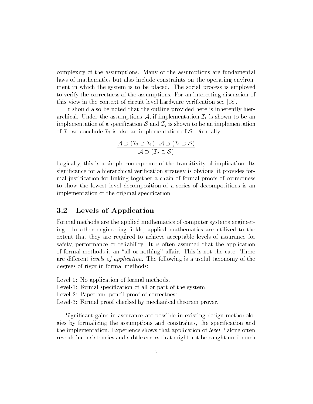complexity of the assumptions. Many of the assumptions are fundamental laws of mathematics but also include constraints on the operating environment in which the system is to be placed. The social process is employed to verify the correctness of the assumptions. For an interesting discussion of this view in the context of circuit level hardware verication see [18].

It should also be noted that the outline provided here is inherently hierarchical. Under the assumptions A, if implementation  $\mathcal{I}_1$  is shown to be an implementation of a specification  $S$  and  $\mathcal{I}_2$  is shown to be an implementation of  $\mathcal{I}_1$  we conclude  $\mathcal{I}_2$  is also an implementation of S. Formally;

$$
\frac{\mathcal{A} \supset (\mathcal{I}_2 \supset \mathcal{I}_1), \ \mathcal{A} \supset (\mathcal{I}_1 \supset \mathcal{S})}{\mathcal{A} \supset (\mathcal{I}_2 \supset \mathcal{S})}
$$

Logically, this is a simple consequence of the transitivity of implication. Its significance for a hierarchical verification strategy is obvious; it provides formal justication for linking together a chain of formal proofs of correctness to show the lowest level decomposition of a series of decompositions is an implementation of the original specification.

### 3.2 Levels of Application

Formal methods are the applied mathematics of computer systems engineering. In other engineering fields, applied mathematics are utilized to the extent that they are required to achieve acceptable levels of assurance for safety, performance or reliability. It is often assumed that the application of formal methods is an "all or nothing" affair. This is not the case. There are different levels of application. The following is a useful taxonomy of the degrees of rigor in formal methods:

- Level-0: No application of formal methods.
- Level 1: Formal specification of all or part of the system.
- Level-2: Paper and pencil proof of correctness.
- Level-3: Formal proof checked by mechanical theorem prover.

Signicant gains in assurance are possible in existing design methodologies by formalizing the assumptions and constraints, the specication and the implementation. Experience shows that application of level 1 alone often reveals inconsistencies and subtle errors that might not be caught until much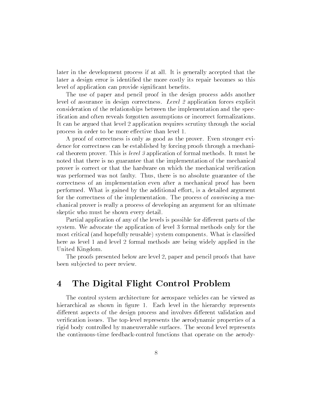later in the development process if at all. It is generally accepted that the later a design error is identified the more costly its repair becomes so this level of application can provide significant benefits.

The use of paper and pencil proof in the design process adds another level of assurance in design correctness. Level 2 application forces explicit consideration of the relationships between the implementation and the specication and often reveals forgotten assumptions or incorrect formalizations. It can be argued that level 2 application requires scrutiny through the social process in order to be more effective than level 1.

A proof of correctness is only as good as the prover. Even stronger evidence for correctness can be established by forcing proofs through a mechanical theorem prover. This is level 3 application of formal methods. It must be noted that there is no guarantee that the implementation of the mechanical prover is correct or that the hardware on which the mechanical verication was performed was not faulty. Thus, there is no absolute guarantee of the correctness of an implementation even after a mechanical proof has been performed. What is gained by the additional effort, is a detailed argument for the correctness of the implementation. The process of convincing a mechanical prover is really a process of developing an argument for an ultimate skeptic who must be shown every detail.

Partial application of any of the levels is possible for different parts of the system. We advocate the application of level 3 formal methods only for the most critical (and hopefully reusable) system components. What is classied here as level 1 and level 2 formal methods are being widely applied in the United Kingdom.

The proofs presented below are level 2, paper and pencil proofs that have been sub jected to peer review.

#### The Digital Flight Control Problem  $\overline{4}$

The control system architecture for aerospace vehicles can be viewed as hierarchical as shown in figure 1. Each level in the hierarchy represents different aspects of the design process and involves different validation and verication issues. The top-level represents the aerodynamic properties of a rigid body controlled by maneuverable surfaces. The second level represents the continuous-time feedback-control functions that operate on the aerody-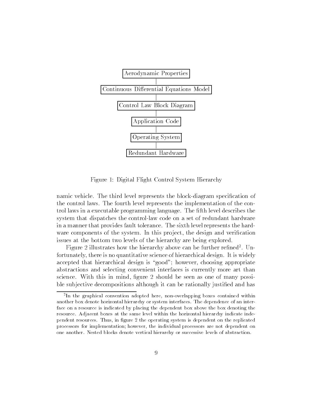

Figure 1: Digital Flight Control System Hierarchy

namic vehicle. The third level represents the block-diagram specication of the control laws. The fourth level represents the implementation of the control laws in a executable programming language. The fth level describes the system that dispatches the control-law code on a set of redundant hardware in a manner that provides fault tolerance. The sixth level represents the hardware components of the system. In this project, the design and verification issues at the bottom two levels of the hierarchy are being explored.

 $\Gamma$  igure  $Z$  inustrates now the hierarchy above can be further refined . Unfortunately, there is no quantitative science of hierarchical design. It is widely accepted that hierarchical design is "good"; however, choosing appropriate abstractions and selecting convenient interfaces is currently more art than science. With this in mind, figure 2 should be seen as one of many possible sub jective decompositions although it can be rationally justied and has

<sup>2</sup> In the graphical convention adopted here, non-overlapping boxes contained within another box denote horizontal hierarchy or system interfaces. The dependence of an interface on a resource is indicated by placing the dependent box above the box denoting the resource. Adjacent boxes at the same level within the horizontal hierarchy indicate independent resources. Thus, in figure 2 the operating system is dependent on the replicated processors for implementation; however, the individual processors are not dependent on one another. Nested blocks denote vertical hierarchy or successive levels of abstraction.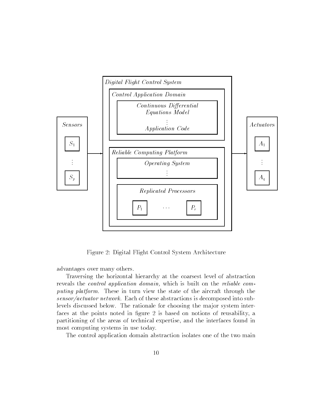

Figure 2: Digital Flight Control System Architecture

advantages over many others.

Traversing the horizontal hierarchy at the coarsest level of abstraction reveals the control application domain, which is built on the reliable computing platform. These in turn view the state of the aircraft through the sensor/actuator network. Each of these abstractions is decomposed into sublevels discussed below. The rationale for choosing the ma jor system interfaces at the points noted in figure 2 is based on notions of reusability, a partitioning of the areas of technical expertise, and the interfaces found in most computing systems in use today.

The control application domain abstraction isolates one of the two main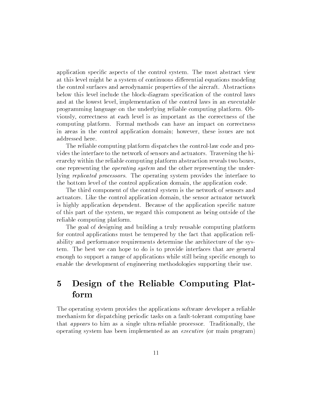application specic aspects of the control system. The most abstract view at this level might be a system of continuous differential equations modeling the control surfaces and aerodynamic properties of the aircraft. Abstractions below this level include the block-diagram specication of the control laws and at the lowest level, implementation of the control laws in an executable programming language on the underlying reliable computing platform. Obviously, correctness at each level is as important as the correctness of the computing platform. Formal methods can have an impact on correctness in areas in the control application domain; however, these issues are not addressed here.

The reliable computing platform dispatches the control-law code and provides the interface to the network of sensors and actuators. Traversing the hierarchy within the reliable computing platform abstraction reveals two boxes, one representing the operating system and the other representing the underlying replicated processors. The operating system provides the interface to the bottom level of the control application domain, the application code.

The third component of the control system is the network of sensors and actuators. Like the control application domain, the sensor actuator network is highly application dependent. Because of the application specic nature of this part of the system, we regard this component as being outside of the reliable computing platform.

The goal of designing and building a truly reusable computing platform for control applications must be tempered by the fact that application reliability and performance requirements determine the architecture of the system. The best we can hope to do is to provide interfaces that are general enough to support a range of applications while still being specific enough to enable the development of engineering methodologies supporting their use.

#### $\overline{5}$ 5 Design of the Reliable Computing Platform

The operating system provides the applications software developer a reliable mechanism for dispatching periodic tasks on a fault-tolerant computing base that appears to him as a single ultra-reliable processor. Traditionally, the operating system has been implemented as an executive (or main program)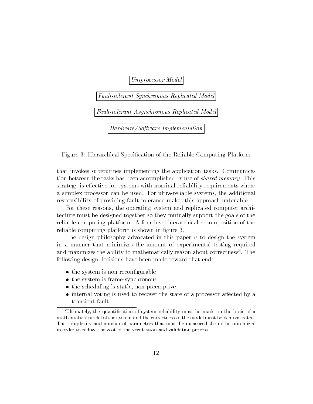

Figure 3: Hierarchical Specication of the Reliable Computing Platform

that invokes subroutines implementing the application tasks. Communication between the tasks has been accomplished by use of *shared memory*. This strategy is effective for systems with nominal reliability requirements where a simplex processor can be used. For ultra-reliable systems, the additional responsibility of providing fault tolerance makes this approach untenable.

For these reasons, the operating system and replicated computer architecture must be designed together so they mutually support the goals of the reliable computing platform. A four-level hierarchical decomposition of the reliable computing platform is shown in figure 3.

The design philosophy advocated in this paper is to design the system in a manner that minimizes the amount of experimental testing required and maximizes the ability to mathematically reason about correctness . The  $\overline{\phantom{a}}$ following design decisions have been made toward that end:

- the system is non-reconfigurable
- the system is frame-synchronous
- the scheduling is static, non-preemptive
- $\bullet$  internal voting is used to recover the state of a processor affected by a

<sup>&</sup>lt;sup>3</sup>Ultimately, the quantification of system reliability must be made on the basis of a mathematical model of the system and the correctness of the model must be demonstrated. The complexity and number of parameters that must be measured should be minimized in order to reduce the cost of the verication and validation process.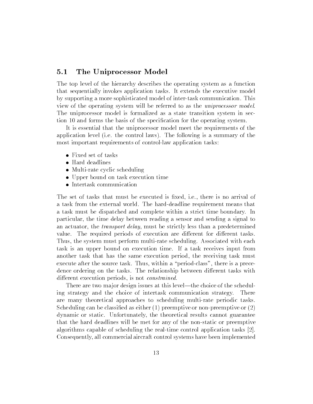### 5.1 The Uniprocessor Model

The top level of the hierarchy describes the operating system as a function that sequentially invokes application tasks. It extends the executive model by supporting a more sophisticated model of inter-task communication. This view of the operating system will be referred to as the uniprocessor model. The uniprocessor model is formalized as a state transition system in section 10 and forms the basis of the specication for the operating system.

It is essential that the uniprocessor model meet the requirements of the application level (i.e. the control laws). The following is a summary of the most important requirements of control-law application tasks:

- Fixed set of tasks
- Hard deadlines
- Multi-rate cyclic scheduling
- Upper bound on task execution time
- Intertask communication

The set of tasks that must be executed is fixed, i.e., there is no arrival of a task from the external world. The hard-deadline requirement means that a task must be dispatched and complete within a strict time boundary. In particular, the time delay between reading a sensor and sending a signal to an actuator, the transport delay, must be strictly less than a predetermined value. The required periods of execution are different for different tasks. Thus, the system must perform multi-rate scheduling. Associated with each task is an upper bound on execution time. If a task receives input from another task that has the same execution period, the receiving task must execute after the source task. Thus, within a "period-class", there is a precedence ordering on the tasks. The relationship between different tasks with different execution periods, is not *constrained*.

There are two major design issues at this level—the choice of the scheduling strategy and the choice of intertask communication strategy. There are many theoretical approaches to scheduling multi-rate periodic tasks. Scheduling can be classified as either  $(1)$  preemptive or non-preemptive or  $(2)$ dynamic or static. Unfortunately, the theoretical results cannot guarantee that the hard deadlines will be met for any of the non-static or preemptive algorithms capable of scheduling the real-time control application tasks [2]. Consequently, all commercial aircraft control systems have been implemented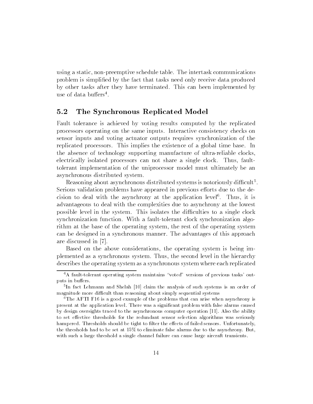using a static, non-preemptive schedule table. The intertask communications problem is simplied by the fact that tasks need only receive data produced by other tasks after they have terminated. This can been implemented by use of data builers .

#### $5.2$ 5.2 The Synchronous Replicated Model

Fault tolerance is achieved by voting results computed by the replicated processors operating on the same inputs. Interactive consistency checks on sensor inputs and voting actuator outputs requires synchronization of the replicated processors. This implies the existence of a global time base. In the absence of technology supporting manufacture of ultra-reliable clocks, electrically isolated processors can not share a single clock. Thus, faulttolerant implementation of the uniprocessor model must ultimately be an asynchronous distributed system.

Reasoning about asynchronous distributed systems is notoriously difficult<sup>5</sup>. Serious validation problems have appeared in previous efforts due to the decision to deal with the asynchrony at the application level<sup>6</sup> . Thus, it is advantageous to deal with the complexities due to asynchrony at the lowest possible level in the system. This isolates the difficulties to a single clock synchronization function. With a fault-tolerant clock synchronization algorithm at the base of the operating system, the rest of the operating system can be designed in a synchronous manner. The advantages of this approach are discussed in [7].

Based on the above considerations, the operating system is being implemented as a synchronous system. Thus, the second level in the hierarchy describes the operating system as a synchronous system where each replicated

<sup>&</sup>lt;sup>4</sup>A fault-tolerant operating system maintains "voted" versions of previous tasks' outputs in buffers.

<sup>5</sup> In fact Lehmann and Shelah [10] claim the analysis of such systems is an order of magnitude more difficult than reasoning about simply sequential systems

<sup>&</sup>lt;sup>6</sup>The AFTI F16 is a good example of the problems that can arise when asynchrony is present at the application level. There was a signicant problem with false alarms caused by design oversights traced to the asynchronous computer operation [11]. Also the ability to set effective thresholds for the redundant sensor selection algorithms was seriously hampered. Thresholds should be tight to filter the effects of failed sensors. Unfortunately, the thresholds had to be set at 15% to eliminate false alarms due to the asynchrony. But, with such a large threshold a single channel failure can cause large aircraft transients.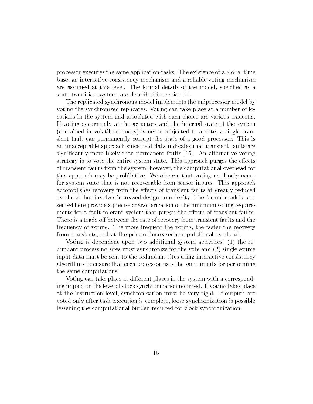processor executes the same application tasks. The existence of a global time base, an interactive consistency mechanism and a reliable voting mechanism are assumed at this level. The formal details of the model, specied as a state transition system, are described in section 11.

The replicated synchronous model implements the uniprocessor model by voting the synchronized replicates. Voting can take place at a number of locations in the system and associated with each choice are various tradeoffs. If voting occurs only at the actuators and the internal state of the system (contained in volatile memory) is never sub jected to a vote, a single transient fault can permanently corrupt the state of a good processor. This is an unacceptable approach since field data indicates that transient faults are signicantly more likely than permanent faults [15]. An alternative voting strategy is to vote the entire system state. This approach purges the effects of transient faults from the system; however, the computational overhead for this approach may be prohibitive. We observe that voting need only occur for system state that is not recoverable from sensor inputs. This approach accomplishes recovery from the effects of transient faults at greatly reduced overhead, but involves increased design complexity. The formal models presented here provide a precise characterization of the minimum voting requirements for a fault-tolerant system that purges the effects of transient faults. There is a trade-off between the rate of recovery from transient faults and the frequency of voting. The more frequent the voting, the faster the recovery from transients, but at the price of increased computational overhead.

Voting is dependent upon two additional system activities: (1) the redundant processing sites must synchronize for the vote and (2) single source input data must be sent to the redundant sites using interactive consistency algorithms to ensure that each processor uses the same inputs for performing the same computations.

Voting can take place at different places in the system with a corresponding impact on the level of clock synchronization required. If voting takes place at the instruction level, synchronization must be very tight. If outputs are voted only after task execution is complete, loose synchronization is possible lessening the computational burden required for clock synchronization.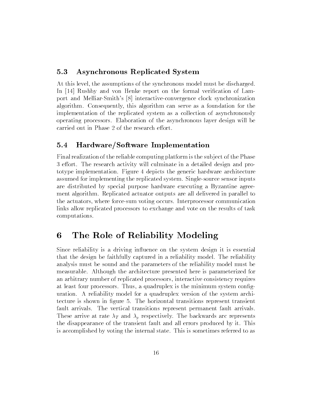### 5.3 Asynchronous Replicated System

At this level, the assumptions of the synchronous model must be discharged. In [14] Rushby and von Henke report on the formal verification of Lamport and Melliar-Smith's [8] interactive-convergence clock synchronization algorithm. Consequently, this algorithm can serve as a foundation for the implementation of the replicated system as a collection of asynchronously operating processors. Elaboration of the asynchronous layer design will be carried out in Phase 2 of the research effort.

### 5.4 Hardware/Software Implementation

Final realization of the reliable computing platform is the sub ject of the Phase 3 effort. The research activity will culminate in a detailed design and prototype implementation. Figure 4 depicts the generic hardware architecture assumed for implementing the replicated system. Single-source sensor inputs are distributed by special purpose hardware executing a Byzantine agreement algorithm. Replicated actuator outputs are all delivered in parallel to the actuators, where force-sum voting occurs. Interprocessor communication links allow replicated processors to exchange and vote on the results of task computations.

#### The Role of Reliability Modeling 6

Since reliability is a driving influence on the system design it is essential that the design be faithfully captured in a reliability model. The reliability analysis must be sound and the parameters of the reliability model must be measurable. Although the architecture presented here is parameterized for an arbitrary number of replicated processors, interactive consistency requires at least four processors. Thus, a quadruplex is the minimum system conguration. A reliability model for a quadruplex version of the system architecture is shown in figure 5. The horizontal transitions represent transient fault arrivals. The vertical transitions represent permanent fault arrivals. These arrive at rate  $\lambda_T$  and  $\lambda_p$  respectively. The backwards arc represents the disappearance of the transient fault and all errors produced by it. This is accomplished by voting the internal state. This is sometimes referred to as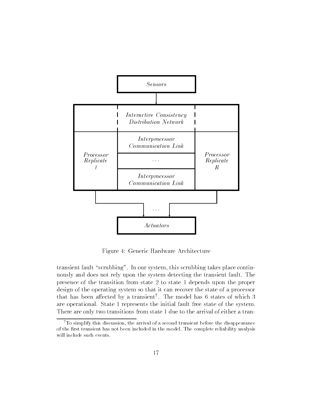

Figure 4: Generic Hardware Architecture

transient fault "scrubbing". In our system, this scrubbing takes place continuously and does not rely upon the system detecting the transient fault. The presence of the transition from state 2 to state 1 depends upon the proper design of the operating system so that it can recover the state of a processor that has been allected by a transient. The model has 6 states of which  $3$ are operational. State 1 represents the initial fault free state of the system. There are only two transitions from state 1 due to the arrival of either a tran-

 $7$ To simplify this discussion, the arrival of a second transient before the disappearance of the first transient has not been included in the model. The complete reliability analysis will include such events.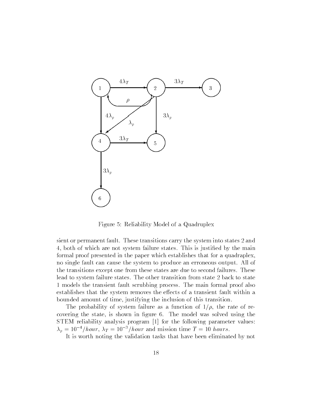

Figure 5: Reliability Model of a Quadruplex

sient or permanent fault. These transitions carry the system into states 2 and 4, both of which are not system failure states. This is justied by the main formal proof presented in the paper which establishes that for a quadraplex, no single fault can cause the system to produce an erroneous output. All of the transitions except one from these states are due to second failures. These lead to system failure states. The other transition from state 2 back to state 1 models the transient fault scrubbing process. The main formal proof also establishes that the system removes the effects of a transient fault within a bounded amount of time, justifying the inclusion of this transition.

The probability of system failure as a function of  $1/\rho$ , the rate of recovering the state, is shown in figure 6. The model was solved using the STEM reliability analysis program [1] for the following parameter values:  $\lambda_p = 10^{-4}/hour$ ,  $\lambda_T = 10^{-3}/hour$  and mission time  $T = 10$  hours.

It is worth noting the validation tasks that have been eliminated by not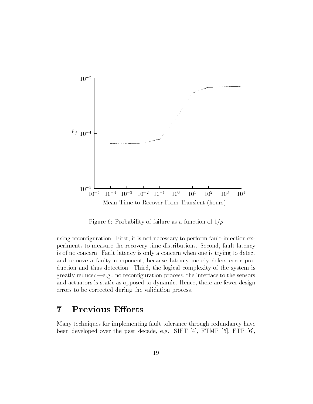

Figure 6: Probability of failure as a function of  $1/\rho$ 

using reconfiguration. First, it is not necessary to perform fault-injection experiments to measure the recovery time distributions. Second, fault-latency is of no concern. Fault latency is only a concern when one is trying to detect and remove a faulty component, because latency merely defers error production and thus detection. Third, the logical complexity of the system is greatly reduced—e.g., no reconfiguration process, the interface to the sensors and actuators is static as opposed to dynamic. Hence, there are fewer design errors to be corrected during the validation process.

#### $\overline{7}$ Previous Efforts

Many techniques for implementing fault-tolerance through redundancy have been developed over the past decade, e.g. SIFT [4], FTMP [5], FTP [6],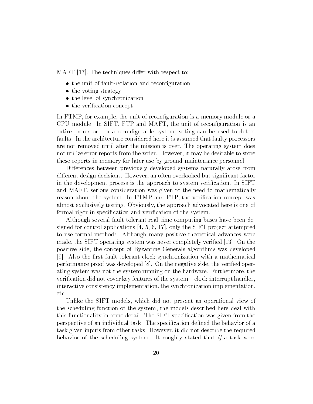MAFT  $[17]$ . The techniques differ with respect to:

- the unit of fault-isolation and reconfiguration
- the voting strategy
- the level of synchronization
- the verification concept

In FTMP, for example, the unit of reconfiguration is a memory module or a CPU module. In SIFT, FTP and MAFT, the unit of reconguration is an entire processor. In a recongurable system, voting can be used to detect faults. In the architecture considered here it is assumed that faulty processors are not removed until after the mission is over. The operating system does not utilize error reports from the voter. However, it may be desirable to store these reports in memory for later use by ground maintenance personnel.

Differences between previously developed systems naturally arose from different design decisions. However, an often overlooked but significant factor in the development process is the approach to system verification. In SIFT and MAFT, serious consideration was given to the need to mathematically reason about the system. In FTMP and FTP, the verification concept was almost exclusively testing. Obviously, the approach advocated here is one of formal rigor in specification and verification of the system.

Although several fault-tolerant real-time computing bases have been designed for control applications  $[4, 5, 6, 17]$ , only the SIFT project attempted to use formal methods. Although many positive theoretical advances were made, the SIFT operating system was never completely verified [13]. On the positive side, the concept of Byzantine Generals algorithms was developed [9]. Also the first fault-tolerant clock synchronization with a mathematical performance proof was developed [8]. On the negative side, the veried operating system was not the system running on the hardware. Furthermore, the verification did not cover key features of the system—clock-interrupt handler, interactive consistency implementation, the synchronization implementation, etc.

Unlike the SIFT models, which did not present an operational view of the scheduling function of the system, the models described here deal with this functionality in some detail. The SIFT specication was given from the perspective of an individual task. The specification defined the behavior of a task given inputs from other tasks. However, it did not describe the required behavior of the scheduling system. It roughly stated that if a task were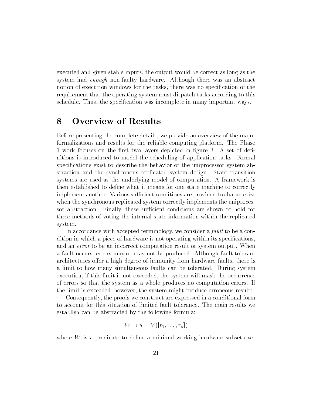executed and given stable inputs, the output would be correct as long as the system had enough non-faulty hardware. Although there was an abstract notion of execution windows for the tasks, there was no specication of the requirement that the operating system must dispatch tasks according to this schedule. Thus, the specification was incomplete in many important ways.

#### 8 **Overview of Results**

Before presenting the complete details, we provide an overview of the ma jor formalizations and results for the reliable computing platform. The Phase 1 work focuses on the first two layers depicted in figure 3. A set of definitions is introduced to model the scheduling of application tasks. Formal specications exist to describe the behavior of the uniprocessor system abstraction and the synchronous replicated system design. State transition systems are used as the underlying model of computation. A framework is then established to define what it means for one state machine to correctly implement another. Various sufficient conditions are provided to characterize when the synchronous replicated system correctly implements the uniprocessor abstraction. Finally, these sufficient conditions are shown to hold for three methods of voting the internal state information within the replicated system.

In accordance with accepted terminology, we consider a *fault* to be a condition in which a piece of hardware is not operating within its specifications, and an error to be an incorrect computation result or system output. When a fault occurs, errors may or may not be produced. Although fault-tolerant architectures offer a high degree of immunity from hardware faults, there is a limit to how many simultaneous faults can be tolerated. During system execution, if this limit is not exceeded, the system will mask the occurrence of errors so that the system as a whole produces no computation errors. If the limit is exceeded, however, the system might produce erroneous results.

Consequently, the proofs we construct are expressed in a conditional form to account for this situation of limited fault tolerance. The main results we establish can be abstracted by the following formula:

$$
W \supset u = V([r_1, \ldots, r_n])
$$

where  $W$  is a predicate to define a minimal working hardware subset over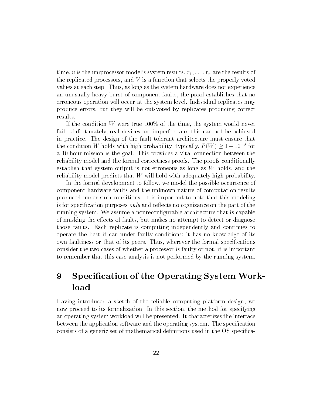time, u is the uniprocessor model's system results,  $r_1, \ldots, r_n$  are the results of the replicated processors, and  $V$  is a function that selects the properly voted values at each step. Thus, as long as the system hardware does not experience an unusually heavy burst of component faults, the proof establishes that no erroneous operation will occur at the system level. Individual replicates may produce errors, but they will be out-voted by replicates producing correct results.

If the condition W were true  $100\%$  of the time, the system would never fail. Unfortunately, real devices are imperfect and this can not be achieved in practice. The design of the fault-tolerant architecture must ensure that the condition w noids with high probability; typically,  $P(W) \geq 1 - 10$  for a 10 hour mission is the goal. This provides a vital connection between the reliability model and the formal correctness proofs. The proofs conditionally establish that system output is not erroneous as long as  $W$  holds, and the reliability model predicts that W will hold with adequately high probability.

In the formal development to follow, we model the possible occurrence of component hardware faults and the unknown nature of computation results produced under such conditions. It is important to note that this modeling is for specification purposes *only* and reflects no cognizance on the part of the running system. We assume a nonrecongurable architecture that is capable of masking the effects of faults, but makes no attempt to detect or diagnose those faults. Each replicate is computing independently and continues to operate the best it can under faulty conditions; it has no knowledge of its own faultiness or that of its peers. Thus, wherever the formal specications consider the two cases of whether a processor is faulty or not, it is important to remember that this case analysis is not performed by the running system.

## 9 Specification of the Operating System Workload

Having introduced a sketch of the reliable computing platform design, we now proceed to its formalization. In this section, the method for specifying an operating system workload will be presented. It characterizes the interface between the application software and the operating system. The specication consists of a generic set of mathematical denitions used in the OS specica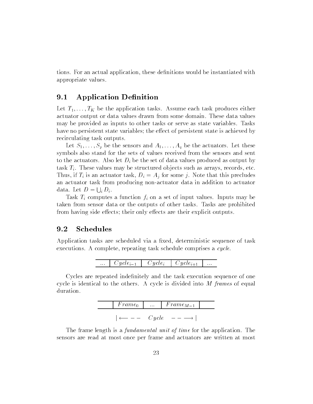tions. For an actual application, these denitions would be instantiated with appropriate values.

### 9.1 Application Definition

Let  $T_1, \ldots, T_K$  be the application tasks. Assume each task produces either actuator output or data values drawn from some domain. These data values may be provided as inputs to other tasks or serve as state variables. Tasks have no persistent state variables; the effect of persistent state is achieved by recirculating task outputs.

Let  $S_1, \ldots, S_p$  be the sensors and  $A_1, \ldots, A_q$  be the actuators. Let these symbols also stand for the sets of values received from the sensors and sent to the actuators. Also let  $D_i$  be the set of data values produced as output by task  $T_i$ . These values may be structured objects such as arrays, records, etc. Thus, if  $T_i$  is an actuator task,  $D_i = A_j$  for some j. Note that this precludes an actuator task from producing non-actuator data in addition to actuator data. Let  $D = \bigcup_i D_i$ .

Task  $T_i$  computes a function  $f_i$  on a set of input values. Inputs may be taken from sensor data or the outputs of other tasks. Tasks are prohibited from having side effects; their only effects are their explicit outputs.

#### 9.2 Schedules

Application tasks are scheduled via a fixed, deterministic sequence of task executions. A complete, repeating task schedule comprises a cycle.

| $\cdots$ | - L'Oucle: A L'Oucle: L'Oucle: A |  | $\ldots$ |
|----------|----------------------------------|--|----------|
|          |                                  |  |          |

Cycles are repeated indefinitely and the task execution sequence of one cycle is identical to the others. A cycle is divided into M frames of equal duration.

| $F$ rame <sub>0</sub> | $\cdots$ | $Frame_{M-1}$ |
|-----------------------|----------|---------------|
|                       |          |               |
|                       | Cycle    |               |

The frame length is a *fundamental unit of time* for the application. The sensors are read at most once per frame and actuators are written at most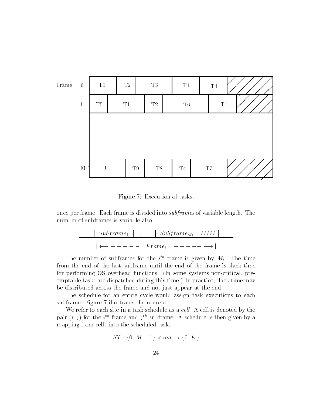

Figure 7: Execution of tasks.

once per frame. Each frame is divided into subframes of variable length. The number of subframes is variable also.

$$
\begin{array}{c|c|c|c|c|c|c} \hline & Subframe_1 & \dots & Subframe_{M_i} & // // // & \hline \\ \hline & & \longleftarrow & - & -- & Frame_i & -- & -- & \longrightarrow \end{array}
$$

The number of subframes for the  $i^{\text{th}}$  frame is given by  $M_i$ . The time from the end of the last subframe until the end of the frame is slack time for performing OS overhead functions. (In some systems non-critical, preemptable tasks are dispatched during this time.) In practice, slack time may be distributed across the frame and not just appear at the end.

The schedule for an entire cycle would assign task executions to each subframe. Figure 7 illustrates the concept.

We refer to each site in a task schedule as a  $cell$ . A cell is denoted by the pair  $(i, j)$  for the  $i^{\text{th}}$  frame and  $j^{\text{th}}$  subframe. A schedule is then given by a mapping from cells into the scheduled task:

$$
ST: \{0..M-1\} \times nat \rightarrow \{0..K\}
$$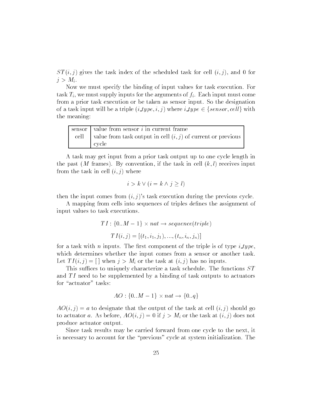$ST(i, j)$  gives the task index of the scheduled task for cell  $(i, j)$ , and 0 for  $j>M_i$ .

Now we must specify the binding of input values for task execution. For task  $T_i$ , we must supply inputs for the arguments of  $f_i$ . Each input must come from a prior task execution or be taken as sensor input. So the designation of a task input will be a triple  $(i\_type, i, j)$  where  $i\_type \in \{sensor, cell\}$  with the meaning:

| sensor $\vert$ value from sensor $i$ in current frame                 |  |
|-----------------------------------------------------------------------|--|
| cell   value from task output in cell $(i, j)$ of current or previous |  |
| cycle                                                                 |  |

A task may get input from a prior task output up to one cycle length in the past (M frames). By convention, if the task in cell  $(k, l)$  receives input from the task in cell  $(i, j)$  where

$$
i > k \vee (i = k \wedge j \geq l)
$$

then the input comes from  $(i, j)$ 's task execution during the previous cycle.

A mapping from cells into sequences of triples defines the assignment of input values to task executions.

$$
TI: \{0..M-1\} \times nat \rightarrow sequence(triple)
$$

$$
TI(i,j) = [(t_1, i_1, j_1), ..., (t_n, i_n, j_n)]
$$

for a task with *n* inputs. The first component of the triple is of type  $i$ -type, which determines whether the input comes from a sensor or another task. Let  $TI(i, j) = \lceil \nceil$  when  $j > M_i$  or the task at  $(i, j)$  has no inputs.

This suffices to uniquely characterize a task schedule. The functions  $ST$ and  $TI$  need to be supplemented by a binding of task outputs to actuators for "actuator" tasks:

$$
AO: \{0..M-1\} \times nat \rightarrow \{0..q\}
$$

 $AO(i, j) = a$  to designate that the output of the task at cell  $(i, j)$  should go to actuator a. As before,  $AO(i, j) = 0$  if  $j > M_i$  or the task at  $(i, j)$  does not produce actuator output.

Since task results may be carried forward from one cycle to the next, it is necessary to account for the \previous" cycle at system initialization. The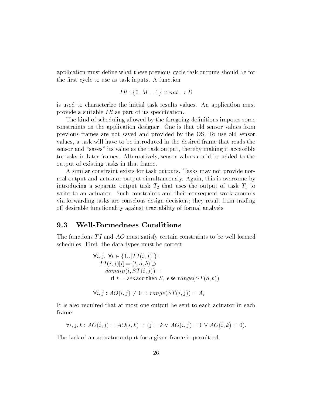application must define what these previous cycle task outputs should be for the first cycle to use as task inputs. A function

$$
IR: \{0..M-1\} \times nat \rightarrow D
$$

is used to characterize the initial task results values. An application must provide a suitable  $IR$  as part of its specification.

The kind of scheduling allowed by the foregoing definitions imposes some constraints on the application designer. One is that old sensor values from previous frames are not saved and provided by the OS. To use old sensor values, a task will have to be introduced in the desired frame that reads the sensor and "saves" its value as the task output, thereby making it accessible to tasks in later frames. Alternatively, sensor values could be added to the output of existing tasks in that frame.

A similar constraint exists for task outputs. Tasks may not provide normal output and actuator output simultaneously. Again, this is overcome by introducing a separate output task  $T_2$  that uses the output of task  $T_1$  to write to an actuator. Such constraints and their consequent work-arounds via forwarding tasks are conscious design decisions; they result from trading off desirable functionality against tractability of formal analysis.

### 9.3 Well-Formedness Conditions

The functions  $TI$  and  $AO$  must satisfy certain constraints to be well-formed schedules. First, the data types must be correct:

$$
\forall i, j, \forall l \in \{1..|TI(i,j)|\}:
$$
  
\n
$$
TI(i,j)[l] = (t, a, b) \supset
$$
  
\n
$$
domain(l, ST(i,j)) =
$$
  
\nif  $t = sensor$  then  $S_a$  else  $range(ST(a, b))$ 

 $\forall i, j : AO(i, j) \neq 0 \supset range(ST(i, j)) = A_i$ 

It is also required that at most one output be sent to each actuator in each frame:

$$
\forall i, j, k : AO(i, j) = AO(i, k) \supset (j = k \vee AO(i, j) = 0 \vee AO(i, k) = 0).
$$

The lack of an actuator output for a given frame is permitted.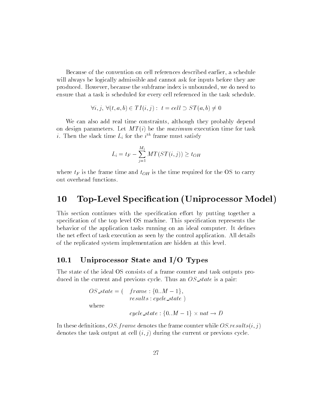Because of the convention on cell references described earlier, a schedule will always be logically admissible and cannot ask for inputs before they are produced. However, because the subframe index is unbounded, we do need to ensure that a task is scheduled for every cell referenced in the task schedule.

$$
\forall i, j, \ \forall (t, a, b) \in TI(i, j): t = cell \supset ST(a, b) \neq 0
$$

We can also add real time constraints, although they probably depend on design parameters. Let  $MT(i)$  be the maximum execution time for task  $i$ . Then the slack time  $L_i$  for the  $i^{\prime\prime}$  frame must satisfy

$$
L_i = t_F - \sum_{j=1}^{M_i} MT(ST(i, j)) \ge t_{OH}
$$

where  $t_F$  is the frame time and  $t_{OH}$  is the time required for the OS to carry out overhead functions.

## 10 Top-Level Specification (Uniprocessor Model)

This section continues with the specification effort by putting together a specification of the top level OS machine. This specification represents the behavior of the application tasks running on an ideal computer. It defines the net effect of task execution as seen by the control application. All details of the replicated system implementation are hidden at this level.

### 10.1 Uniprocessor State and I/O Types

The state of the ideal OS consists of a frame counter and task outputs produced in the current and previous cycle. Thus an  $OS\_state$  is a pair:

$$
OS\_state = ( \nfrac{frame: \{0..M - 1\}}{results: cycle\_state})
$$
\nwhere\n
$$
cycle\_state: \{0..M - 1\} \times nat \rightarrow D
$$

In these definitions, OS: frame denotes the frame counter while  $OS:results(i, j)$ denotes the task output at cell  $(i, j)$  during the current or previous cycle.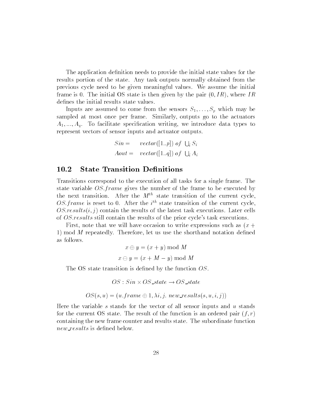The application definition needs to provide the initial state values for the results portion of the state. Any task outputs normally obtained from the previous cycle need to be given meaningful values. We assume the initial frame is 0. The initial OS state is then given by the pair  $(0,IR)$ , where IR defines the initial results state values.

Inputs are assumed to come from the sensors  $S_1, \ldots, S_p$  which may be sampled at most once per frame. Similarly, outputs go to the actuators  $A_1, \ldots, A_q$ . To facilitate specification writing, we introduce data types to represent vectors of sensor inputs and actuator outputs.

$$
Sin = \text{vector}([1..p]) \text{ of } \bigcup_i S_i
$$
\n
$$
Aout = \text{vector}([1..q]) \text{ of } \bigcup_i A_i
$$

### 10.2 State Transition Definitions

Transitions correspond to the execution of all tasks for a single frame. The state variable  $OS-frame$  gives the number of the frame to be executed by the next transition. After the  $M^{th}$  state transition of the current cycle.  $\sigma$ . *frame* is reset to  $\sigma$ . After the  $i^{\sigma}$  state transition of the current cycle,  $OS:results(i, j)$  contain the results of the latest task executions. Later cells of OS:results still contain the results of the prior cycle's task executions.

First, note that we will have occasion to write expressions such as  $(x +$ 1) mod  $M$  repeatedly. Therefore, let us use the shorthand notation defined as follows.

$$
x \oplus y = (x + y) \bmod M
$$

$$
x \ominus y = (x + M - y) \bmod M
$$

The OS state transition is defined by the function  $OS$ .

$$
OS: Sin \times OS\_state \rightarrow OS\_state
$$

$$
OS(s, u) = (u \cdot frame \oplus 1, \lambda i, j \cdot new\_results(s, u, i, j))
$$

Here the variable s stands for the vector of all sensor inputs and  $u$  stands for the current OS state. The result of the function is an ordered pair  $(f, r)$ containing the new frame counter and results state. The subordinate function new results is defined below.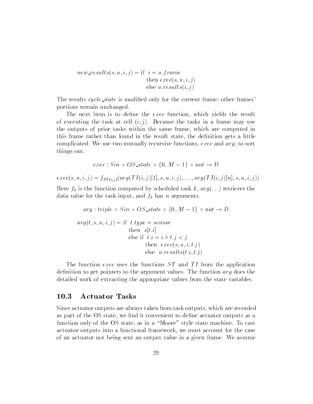$new\_results(s, u, i, j) = if i = u-frame$ then  $exec(s, u, i, j)$ else u. $results(i, j)$ 

The results cycle state is modified only for the current frame; other frames' portions remain unchanged.

The next item is to define the exec function, which yields the result of executing the task at cell  $(i, j)$ . Because the tasks in a frame may use the outputs of prior tasks within the same frame, which are computed in this frame rather than found in the result state, the denition gets a little complicated. We use two mutually recursive functions, exec and arg, to sort things out.

$$
exec: Sin \times OS\_state \times \{0..M - 1\} \times nat \rightarrow D
$$

 $exec(s, u, i, j) = f_{ST(i,j)}(arg(TI(i, j))[1], s, u, i, j), \ldots, arg(TI(i, j)[n], s, u, i, j))$ 

Here  $f_k$  is the function computed by scheduled task k,  $arg(...)$  retrieves the data value for the task input, and  $f_k$  has n arguments.

$$
arg: triple \times Sin \times OS\_state \times \{0..M - 1\} \times nat \to L
$$
  

$$
arg(t, s, u, i, j) = \text{if } t.\text{type} = sensor
$$
  
then  $s[t.i]$   
else if  $t.i = i \land t.j < j$   
then  $exec(s, u, i, t.j)$   
else  $u.results(t.i, t.j)$ 

The function exec uses the functions  $ST$  and  $TI$  from the application definition to get pointers to the argument values. The function  $\arg$  does the detailed work of extracting the appropriate values from the state variables.

#### 10.3 Actuator Tasks

Since actuator outputs are always taken from task outputs, which are recorded as part of the OS state, we find it convenient to define actuator outputs as a function only of the OS state, as in a "Moore" style state machine. To cast actuator outputs into a functional framework, we must account for the case of an actuator not being sent an output value in a given frame. We assume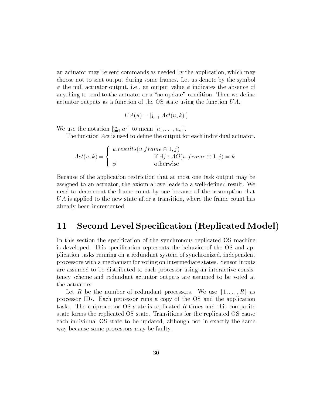an actuator may be sent commands as needed by the application, which may choose not to sent output during some frames. Let us denote by the symbol  $\phi$  the null actuator output, i.e., an output value  $\phi$  indicates the absence of anything to send to the actuator or a "no update" condition. Then we define actuator outputs as a function of the OS state using the function UA.

$$
UA(u) = \left[\begin{smallmatrix} q \\ k=1 \end{smallmatrix} Act(u, k) \right]
$$

we use the notation  $\left[\prod_{i=1}^n a_i\right]$  to mean  $\left[a_1,\ldots,a_m\right]$ .

The function Act is used to define the output for each individual actuator.

$$
Act(u,k) = \begin{cases} u.results(u.frame \ominus 1,j) \\ \phi & \text{if } \exists j : AO(u.frame \ominus 1,j) = k \\ \phi & \text{otherwise} \end{cases}
$$

Because of the application restriction that at most one task output may be assigned to an actuator, the axiom above leads to a well-defined result. We need to decrement the frame count by one because of the assumption that  $UA$  is applied to the new state after a transition, where the frame count has already been incremented.

## 11 Second Level Specication (Replicated Model)

In this section the specification of the synchronous replicated OS machine is developed. This specication represents the behavior of the OS and application tasks running on a redundant system of synchronized, independent processors with a mechanism for voting on intermediate states. Sensor inputs are assumed to be distributed to each processor using an interactive consistency scheme and redundant actuator outputs are assumed to be voted at the actuators.

Let R be the number of redundant processors. We use  $\{1, \ldots, R\}$  as processor IDs. Each processor runs a copy of the OS and the application tasks. The uniprocessor OS state is replicated  $R$  times and this composite state forms the replicated OS state. Transitions for the replicated OS cause each individual OS state to be updated, although not in exactly the same way because some processors may be faulty.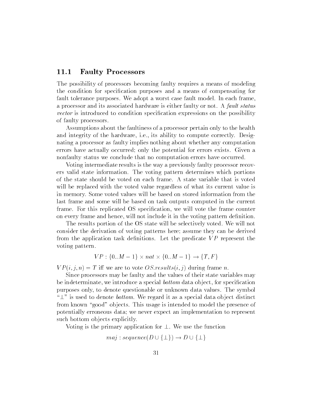### 11.1 Faulty Processors

The possibility of processors becoming faulty requires a means of modeling the condition for specication purposes and a means of compensating for fault tolerance purposes. We adopt a worst case fault model. In each frame, a processor and its associated hardware is either faulty or not. A fault status vector is introduced to condition specication expressions on the possibility of faulty processors.

Assumptions about the faultiness of a processor pertain only to the health and integrity of the hardware, i.e., its ability to compute correctly. Designating a processor as faulty implies nothing about whether any computation errors have actually occurred; only the potential for errors exists. Given a nonfaulty status we conclude that no computation errors have occurred.

Voting intermediate results is the way a previously faulty processor recovers valid state information. The voting pattern determines which portions of the state should be voted on each frame. A state variable that is voted will be replaced with the voted value regardless of what its current value is in memory. Some voted values will be based on stored information from the last frame and some will be based on task outputs computed in the current frame. For this replicated OS specication, we will vote the frame counter on every frame and hence, will not include it in the voting pattern definition.

The results portion of the OS state will be selectively voted. We will not consider the derivation of voting patterns here; assume they can be derived from the application task definitions. Let the predicate  $VP$  represent the voting pattern.

$$
VP: \{0..M-1\} \times nat \times \{0..M-1\} \to \{T, F\}
$$

 $VP(i, j, n) = T$  iff we are to vote OS results $(i, j)$  during frame n.

Since processors may be faulty and the values of their state variables may be indeterminate, we introduce a special *bottom* data object, for specification purposes only, to denote questionable or unknown data values. The symbol " $\perp$ " is used to denote *bottom*. We regard it as a special data object distinct from known "good" objects. This usage is intended to model the presence of potentially erroneous data; we never expect an implementation to represent such bottom objects explicitly.

Voting is the primary application for  $\perp$ . We use the function

$$
maj: sequence(D \cup \{\bot\}) \to D \cup \{\bot\}
$$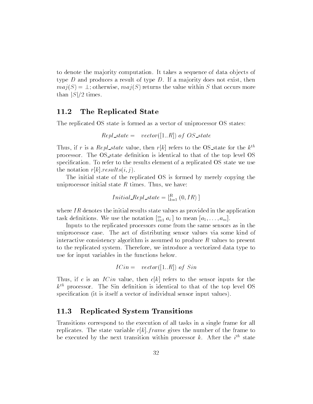to denote the ma jority computation. It takes a sequence of data ob jects of type  $D$  and produces a result of type  $D$ . If a majority does not exist, then  $maj(S) = \perp$ ; otherwise,  $maj(S)$  returns the value within S that occurs more than  $|S|/2$  times.

### 11.2 The Replicated State

The replicated OS state is formed as a vector of uniprocessor OS states:

$$
Repl\_state = vector([1..R])
$$
 of OS<sub>-state</sub>

Thus, if r is a Repl\_state value, then r[k] refers to the OS\_state for the  $k^{th}$ processor. The OS state denition is identical to that of the top level OS specification. To refer to the results element of a replicated OS state we use the notation  $r[k].results(i, j).$ 

The initial state of the replicated OS is formed by merely copying the uniprocessor initial state  $R$  times. Thus, we have:

$$
Initial\_Repl\_state = \left[\begin{matrix} R \\ k=1 \end{matrix}\right] (0, IR) \left]
$$

where  $IR$  denotes the initial results state values as provided in the application task definitions. We use the notation  $\left[\sum_{i=1}^n a_i\right]$  to mean  $\left[a_1,\ldots,a_m\right]$ .

Inputs to the replicated processors come from the same sensors as in the uniprocessor case. The act of distributing sensor values via some kind of interactive consistency algorithm is assumed to produce  $R$  values to present to the replicated system. Therefore, we introduce a vectorized data type to use for input variables in the functions below.

$$
ICin = vector([1..R])
$$
 of  $Sin$ 

Thus, if c is an  $I Cin$  value, then  $c[k]$  refers to the sensor inputs for the  $k^{th}$  processor. The Sin definition is identical to that of the top level OS specification (it is itself a vector of individual sensor input values).

### 11.3 Replicated System Transitions

Transitions correspond to the execution of all tasks in a single frame for all replicates. The state variable  $r[k]$ : frame gives the number of the frame to be executed by the next transition within processor  $\kappa$ . After the  $i^{\text{th}}$  state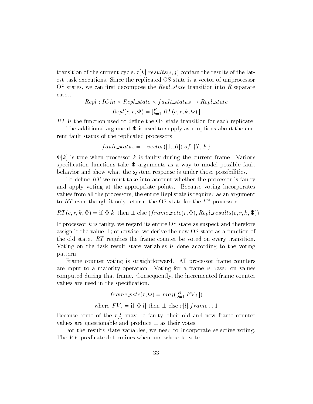transition of the current cycle,  $r[k].results(i, j)$  contain the results of the latest task executions. Since the replicated OS state is a vector of uniprocessor OS states, we can first decompose the  $Repl-state$  transition into R separate cases.

$$
Repl: ICin \times Repl\_state \times fault\_status \rightarrow Repl\_state
$$

$$
Repl(c, r, \Phi) = \left[\begin{matrix} R \\ k=1 \end{matrix} RT(c, r, k, \Phi)\right]
$$

RT is the function used to dene the OS state transition for each replicate.

The additional argument  $\Phi$  is used to supply assumptions about the current fault status of the replicated processors.

$$
fault\_status = vector([1..R]) \text{ of } \{T,F\}
$$

 $\Phi[k]$  is true when processor k is faulty during the current frame. Various specification functions take  $\Phi$  arguments as a way to model possible fault behavior and show what the system response is under those possibilities.

To define  $RT$  we must take into account whether the processor is faulty and apply voting at the appropriate points. Because voting incorporates values from all the processors, the entire Repl state is required as an argument to RT even though it only returns the OS state for the  $k^{th}$  processor.

 $RT(c, r, k, \Phi) = \text{if } \Phi[k] \text{ then } \bot \text{ else } (frame\_vote(r, \Phi), Repl\_results(c, r, k, \Phi))$ 

If processor  $k$  is faulty, we regard its entire OS state as suspect and therefore assign it the value  $\perp$ ; otherwise, we derive the new OS state as a function of the old state. RT requires the frame counter be voted on every transition. Voting on the task result state variables is done according to the voting pattern.

Frame counter voting is straightforward. All processor frame counters are input to a majority operation. Voting for a frame is based on values computed during that frame. Consequently, the incremented frame counter values are used in the specification.

$$
frame\_vote(r, \Phi) = maj([^{R}_{l=1} FV_l])
$$
  
where  $FV_l = \text{if } \Phi[l]$  then  $\perp$  else  $r[l].frame \oplus 1$ 

Because some of the  $r[l]$  may be faulty, their old and new frame counter values are questionable and produce  $\perp$  as their votes.

For the results state variables, we need to incorporate selective voting. The VP predicate determines when and where to vote.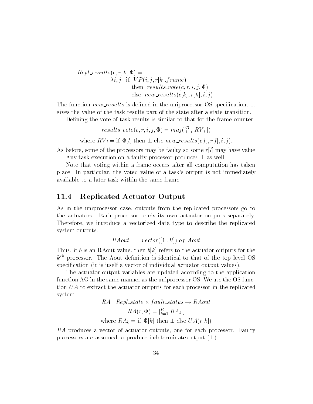$Repl\_results(c, r, k, \Phi) =$  $\lambda i, j.$  if  $VP(i, j, r[k].frame)$ then  $results\_vote(c, r, i, j, \Phi)$ else  $new\_results(c[k], r[k], i, j)$ 

The function  $new\_results$  is defined in the uniprocessor OS specification. It gives the value of the task results part of the state after a state transition.

Defining the vote of task results is similar to that for the frame counter.

 $results\_vote(c, r, \iota, \jmath, \Psi) = maj([\prod_{l=1}^r KV_l])$ 

where  $\sim$  if  $\sim$  if  $\sim$  if  $\sim$  if  $\sim$  if  $\sim$  if  $\sim$  if  $\sim$  if  $\sim$  if  $\sim$  if  $\sim$  if  $\sim$  if  $\sim$  if  $\sim$  if  $\sim$  if  $\sim$  if  $\sim$  if  $\sim$  if  $\sim$  if  $\sim$  if  $\sim$  if  $\sim$  if  $\sim$  if  $\sim$  if  $\sim$  if  $\sim$  if  $\sim$  if

As before, some of the processors may be faulty so some  $r[l]$  may have value  $\perp$ . Any task execution on a faulty processor produces  $\perp$  as well.

Note that voting within a frame occurs after all computation has taken place. In particular, the voted value of a task's output is not immediately available to a later task within the same frame.

### 11.4 Replicated Actuator Output

As in the uniprocessor case, outputs from the replicated processors go to the actuators. Each processor sends its own actuator outputs separately. Therefore, we introduce a vectorized data type to describe the replicated system outputs.

 $RAout = vector([1..R])$  of  $Aout$ 

Thus, if b is an RAout value, then  $b[k]$  refers to the actuator outputs for the  $k<sup>th</sup>$  processor. The Aout definition is identical to that of the top level OS specification (it is itself a vector of individual actuator output values).

The actuator output variables are updated according to the application function AO in the same manner as the uniprocessor OS. We use the OS function UA to extract the actuator outputs for each processor in the replicated system.

$$
RA: Repl\_state \times fault\_status \rightarrow RAout
$$
  

$$
RA(r, \Phi) = \begin{bmatrix} R \\ k=1 \end{bmatrix} RA_k
$$
  
where  $RA_k$  = if  $\Phi[k]$  then  $\perp$  else  $UA(r|k|)$ 

RA produces a vector of actuator outputs, one for each processor. Faulty processors are assumed to produce indeterminate output  $(\perp)$ .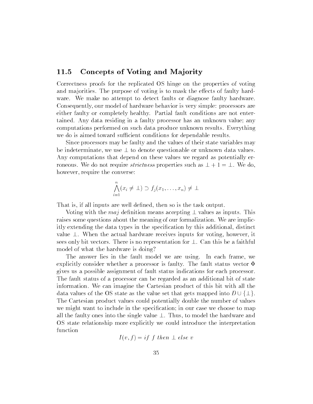### 11.5 Concepts of Voting and Majority

Correctness proofs for the replicated OS hinge on the properties of voting and majorities. The purpose of voting is to mask the effects of faulty hardware. We make no attempt to detect faults or diagnose faulty hardware. Consequently, our model of hardware behavior is very simple: processors are either faulty or completely healthy. Partial fault conditions are not entertained. Any data residing in a faulty processor has an unknown value; any computations performed on such data produce unknown results. Everything we do is aimed toward sufficient conditions for dependable results.

Since processors may be faulty and the values of their state variables may be indeterminate, we use  $\perp$  to denote questionable or unknown data values. Any computations that depend on these values we regard as potentially erroneous. We do not require *strictness* properties such as  $\perp + 1 = \perp$ . We do, however, require the converse:

$$
\bigwedge_{i=1}^{n} (x_i \neq \bot) \supset f_j(x_1, \ldots, x_n) \neq \bot
$$

That is, if all inputs are well defined, then so is the task output.

Voting with the maj definition means accepting  $\perp$  values as inputs. This raises some questions about the meaning of our formalization. We are implicitly extending the data types in the specification by this additional, distinct value  $\perp$ . When the actual hardware receives inputs for voting, however, it sees only bit vectors. There is no representation for  $\perp$ . Can this be a faithful model of what the hardware is doing?

The answer lies in the fault model we are using. In each frame, we explicitly consider whether a processor is faulty. The fault status vector  $\Phi$ gives us a possible assignment of fault status indications for each processor. The fault status of a processor can be regarded as an additional bit of state information. We can imagine the Cartesian product of this bit with all the data values of the OS state as the value set that gets mapped into  $D \cup \{\perp\}.$ The Cartesian product values could potentially double the number of values we might want to include in the specification; in our case we choose to map all the faulty ones into the single value  $\perp$ . Thus, to model the hardware and OS state relationship more explicitly we could introduce the interpretation function

$$
I(v, f) = if f then \perp else v
$$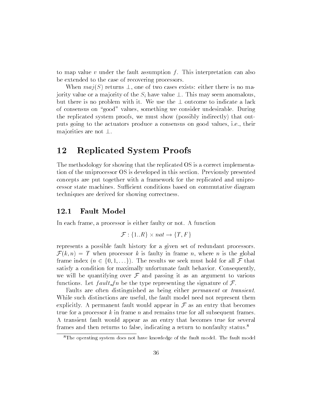to map value v under the fault assumption  $f$ . This interpretation can also be extended to the case of recovering processors.

When  $maj(S)$  returns  $\perp$ , one of two cases exists: either there is no majority value or a majority of the  $S_i$  have value  $\perp$ . This may seem anomalous, but there is no problem with it. We use the  $\perp$  outcome to indicate a lack of consensus on "good" values, something we consider undesirable. During the replicated system proofs, we must show (possibly indirectly) that outputs going to the actuators produce a consensus on good values, i.e., their majorities are not  $\perp$ .

## 12 Replicated System Proofs

The methodology for showing that the replicated OS is a correct implementation of the uniprocessor OS is developed in this section. Previously presented concepts are put together with a framework for the replicated and uniprocessor state machines. Sufficient conditions based on commutative diagram techniques are derived for showing correctness.

#### 12.1 Fault Model

In each frame, a processor is either faulty or not. A function

$$
\mathcal{F}: \{1..R\} \times nat \rightarrow \{T, F\}
$$

represents a possible fault history for a given set of redundant processors.  $\mathcal{F}(k,n) = T$  when processor k is faulty in frame n, where n is the global frame index  $(n \in \{0, 1, \ldots\})$ . The results we seek must hold for all  $\mathcal F$  that satisfy a condition for maximally unfortunate fault behavior. Consequently, we will be quantifying over  $\mathcal F$  and passing it as an argument to various functions. Let  $fault_fn$  be the type representing the signature of  $\mathcal{F}$ .

Faults are often distinguished as being either permanent or transient. While such distinctions are useful, the fault model need not represent them explicitly. A permanent fault would appear in  $\mathcal F$  as an entry that becomes true for a processor  $k$  in frame n and remains true for all subsequent frames. A transient fault would appear as an entry that becomes true for several frames and then returns to false, indicating a return to nonfaulty status.8

<sup>&</sup>lt;sup>8</sup>The operating system does not have knowledge of the fault model. The fault model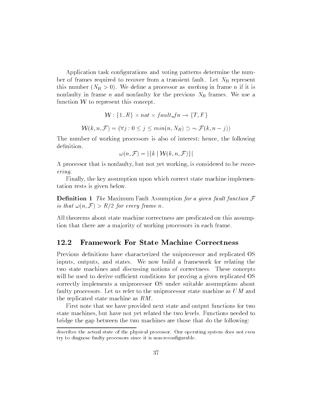Application task configurations and voting patterns determine the number of frames required to recover from a transient fault. Let  $N_R$  represent this number  $(N_R > 0)$ . We define a processor as *working* in frame *n* if it is nonfaulty in frame *n* and nonfaulty for the previous  $N_R$  frames. We use a function  $W$  to represent this concept.

$$
\mathcal{W}: \{1..R\} \times nat \times fault\_fn \to \{T, F\}
$$

$$
\mathcal{W}(k, n, \mathcal{F}) = (\forall j: 0 \le j \le min(n, N_R) \supset \sim \mathcal{F}(k, n - j))
$$

The number of working processors is also of interest; hence, the following definition.

$$
\omega(n, \mathcal{F}) = |\{k \mid \mathcal{W}(k, n, \mathcal{F})\}|
$$

A processor that is nonfaulty, but not yet working, is considered to be recovering.

Finally, the key assumption upon which correct state machine implementation rests is given below.

**Definition 1** The Maximum Fault Assumption for a given fault function  $\mathcal F$ is that  $\omega(n, \mathcal{F}) > R/2$  for every frame n.

All theorems about state machine correctness are predicated on this assumption that there are a majority of working processors in each frame.

#### 12.2 12.2 Framework For State Machine Correctness

Previous definitions have characterized the uniprocessor and replicated OS inputs, outputs, and states. We now build a framework for relating the two state machines and discussing notions of correctness. These concepts will be used to derive sufficient conditions for proving a given replicated OS correctly implements a uniprocessor OS under suitable assumptions about faulty processors. Let us refer to the uniprocessor state machine as UM and the replicated state machine as RM.

First note that we have provided next state and output functions for two state machines, but have not yet related the two levels. Functions needed to bridge the gap between the two machines are those that do the following:

describes the actual state of the physical processor. Our operating system does not even try to diagnose faulty processors since it is non-recongurable.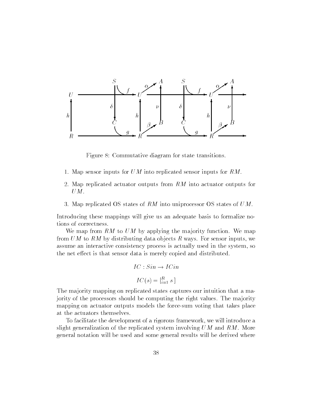

Figure 8: Commutative diagram for state transitions.

- 1. Map sensor inputs for UM into replicated sensor inputs for RM.
- 2. Map replicated actuator outputs from RM into actuator outputs for  $UM.$
- 3. Map replicated OS states of RM into uniprocessor OS states of  $UM$ .

Introducing these mappings will give us an adequate basis to formalize notions of correctness.

We map from  $RM$  to  $UM$  by applying the majority function. We map from  $UM$  to  $RM$  by distributing data objects R ways. For sensor inputs, we assume an interactive consistency process is actually used in the system, so the net effect is that sensor data is merely copied and distributed.

$$
IC: Sin \rightarrow ICin
$$

$$
IC(s) = \begin{bmatrix} R \\ i=1 \end{bmatrix}
$$

The ma jority mapping on replicated states captures our intuition that a majority of the processors should be computing the right values. The ma jority mapping on actuator outputs models the force-sum voting that takes place at the actuators themselves.

To facilitate the development of a rigorous framework, we will introduce a slight generalization of the replicated system involving  $UM$  and  $RM$ . More general notation will be used and some general results will be derived where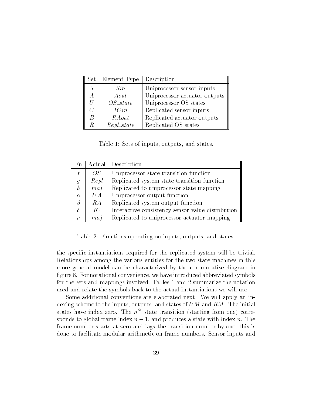| Set            | Element Type | Description                   |
|----------------|--------------|-------------------------------|
| $\overline{S}$ | Sin          | Uniprocessor sensor inputs    |
| А              | Aout         | Uniprocessor actuator outputs |
| Н              | $OS\_state$  | Uniprocessor OS states        |
| C              | ICin         | Replicated sensor inputs      |
| B              | RAout        | Replicated actuator outputs   |
| R              | Repl_state   | Replicated OS states          |

Table 1: Sets of inputs, outputs, and states.

| Fn               |                  | Actual Description                                |  |
|------------------|------------------|---------------------------------------------------|--|
|                  | OS               | Uniprocessor state transition function            |  |
|                  | Repl             | Replicated system state transition function       |  |
| $\boldsymbol{h}$ | maj              | Replicated to uniprocessor state mapping          |  |
| $\alpha$         | UA               | Uniprocessor output function                      |  |
|                  | RA               | Replicated system output function                 |  |
|                  | IC               | Interactive consistency sensor value distribution |  |
|                  | $m$ <i>a</i> $i$ | Replicated to uniprocessor actuator mapping       |  |

Table 2: Functions operating on inputs, outputs, and states.

the specic instantiations required for the replicated system will be trivial. Relationships among the various entities for the two state machines in this more general model can be characterized by the commutative diagram in figure 8. For notational convenience, we have introduced abbreviated symbols for the sets and mappings involved. Tables 1 and 2 summarize the notation used and relate the symbols back to the actual instantiations we will use.

Some additional conventions are elaborated next. We will apply an indexing scheme to the inputs, outputs, and states of UM and RM. The initial states have index zero. The  $n^{th}$  state transition (starting from one) corresponds to global frame index  $n-1$ , and produces a state with index n. The frame number starts at zero and lags the transition number by one; this is done to facilitate modular arithmetic on frame numbers. Sensor inputs and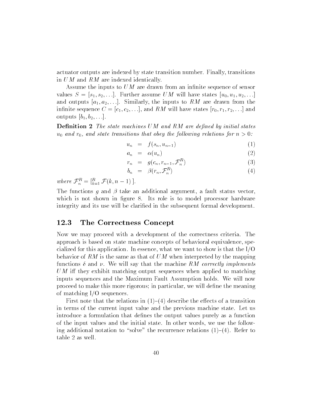actuator outputs are indexed by state transition number. Finally, transitions in UM and RM are indexed identically.

Assume the inputs to  $UM$  are drawn from an infinite sequence of sensor values  $S = [s_1, s_2, \ldots]$ . Further assume UM will have states  $[u_0, u_1, u_2, \ldots]$ and outputs  $[a_1, a_2, \ldots]$ . Similarly, the inputs to RM are drawn from the infinite sequence  $C = [c_1, c_2, \ldots]$ , and RM will have states  $[r_0, r_1, r_2, \ldots]$  and outputs  $[b_1, b_2, \ldots]$ .

**Definition 2** The state machines UM and RM are defined by initial states  $u_0$  and  $r_0$ , and state transitions that obey the following relations for  $n > 0$ :

$$
u_n = f(s_n, u_{n-1}) \tag{1}
$$

$$
a_n = \alpha(u_n) \tag{2}
$$

$$
r_n = g(c_n, r_{n-1}, \mathcal{F}_n^R) \tag{3}
$$

$$
b_n = \beta(r_n, \mathcal{F}_n^R) \tag{4}
$$

where  $\mathcal{F}_n^{\perp} = [\bar{k} = 1] \mathcal{F}(k, n - 1)$ .

The functions q and  $\beta$  take an additional argument, a fault status vector which is not shown in figure 8. Its role is to model processor hardware integrity and its use will be clarified in the subsequent formal development.

### 12.3 The Correctness Concept

Now we may proceed with a development of the correctness criteria. The approach is based on state machine concepts of behavioral equivalence, specialized for this application. In essence, what we want to show is that the I/O behavior of RM is the same as that of UM when interpreted by the mapping functions  $\delta$  and  $\nu$ . We will say that the machine RM correctly implements UM iff they exhibit matching output sequences when applied to matching inputs sequences and the Maximum Fault Assumption holds. We will now proceed to make this more rigorous; in particular, we will define the meaning of matching I/O sequences.

First note that the relations in  $(1)-(4)$  describe the effects of a transition in terms of the current input value and the previous machine state. Let us introduce a formulation that defines the output values purely as a function of the input values and the initial state. In other words, we use the following additional notation to "solve" the recurrence relations  $(1)-(4)$ . Refer to table 2 as well.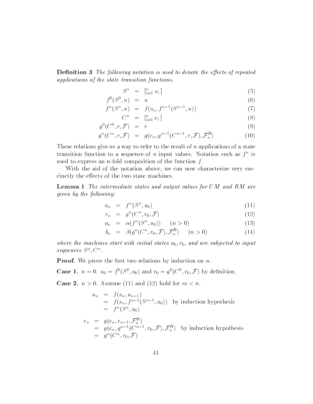**Definition 3** The following notation is used to denote the effects of repeated applications of the state transition functions.

$$
S^n = \begin{bmatrix} n \\ i=1 \end{bmatrix} s_i \tag{5}
$$

$$
f^0(S^0, u) = u \tag{6}
$$

$$
f^{n}(S^{n}, u) = f(s_{n}, f^{n-1}(S^{n-1}, u))
$$
\n(7)

$$
C^n = \begin{bmatrix} n \\ i=1 \end{bmatrix} C_i \tag{8}
$$

$$
g^0(C^0, r, \mathcal{F}) = r \tag{9}
$$

$$
g^{n}(C^{n}, r, \mathcal{F}) = g(c_{n}, g^{n-1}(C^{n-1}, r, \mathcal{F}), \mathcal{F}_{n}^{R})
$$
\n(10)

These relations give us a way to refer to the result of n applications of a state transition function to a sequence of  $n$  input values. Notation such as  $f^*$  is used to express an n-fold composition of the function  $f$ .

With the aid of the notation above, we can now characterize very succinctly the effects of the two state machines.

Lemma 1 The intermediate states and output values for UM and RM are given by the following:

$$
u_n = f^n(S^n, u_0) \tag{11}
$$

$$
r_n = g^n(C^n, r_0, \mathcal{F}) \tag{12}
$$

$$
a_n = \alpha(f^n(S^n, u_0)) \quad (n > 0) \tag{13}
$$

$$
b_n = \beta(g^n(C^n, r_0, \mathcal{F}), \mathcal{F}_n^R) \qquad (n > 0)
$$
\n
$$
(14)
$$

where the machines start with initial states  $u_0, r_0$ , and are subjected to input  $sequences \cup$ .

**Proof.** We prove the first two relations by induction on  $n$ .

**Case 1.**  $n = 0$ .  $u_0 = f(3, u_0)$  and  $r_0 = g(0, t, r_0, \mathcal{F})$  by definition.

**Case 2.**  $n > 0$ . Assume (11) and (12) hold for  $m < n$ .

$$
u_n = f(s_n, u_{n-1})
$$
  
=  $f(s_n, f^{n-1}(S^{n-1}, u_0))$  by induction hypothesis  
=  $f^n(S^n, u_0)$ 

$$
r_n = g(c_n, r_{n-1}, \mathcal{F}_n^R)
$$
  
=  $g(c_n, g^{n-1}(C^{n-1}, r_0, \mathcal{F}), \mathcal{F}_n^R)$  by induction hypothesis  
=  $g^n(C^n, r_0, \mathcal{F})$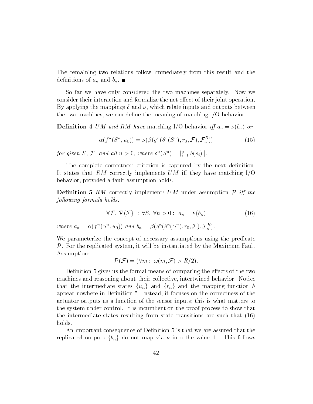The remaining two relations follow immediately from this result and the definitions of  $a_n$  and  $b_n$ .

So far we have only considered the two machines separately. Now we consider their interaction and formalize the net effect of their joint operation. By applying the mappings  $\delta$  and  $\nu$ , which relate inputs and outputs between the two machines, we can define the meaning of matching  $I/O$  behavior.

**Definition 4** UM and RM have matching I/O behavior if  $a_n = \nu(b_n)$  or

$$
\alpha(f^n(S^n, u_0)) = \nu(\beta(g^n(\delta^n(S^n), r_0, \mathcal{F}), \mathcal{F}_n^R))
$$
\n(15)

for given  $S, \mathcal{F},$  and all  $n > 0$ , where  $o^-(S^-) = \binom{n}{i} o(s_i)$ .

The complete correctness criterion is captured by the next definition. It states that RM correctly implements UM iff they have matching  $I/O$ behavior, provided a fault assumption holds.

**Definition 5** RM correctly implements UM under assumption  $\mathcal{P}$  iff the  $following formula holds:$ 

$$
\forall \mathcal{F}, \ \mathcal{P}(\mathcal{F}) \supset \forall S, \ \forall n > 0 : \ a_n = \nu(b_n) \tag{16}
$$

where  $a_n = \alpha(f^{\alpha}(S^{\alpha}, u_0))$  and  $b_n = \beta(g^{\alpha}(s^{\alpha}(S^{\alpha}), r_0, \mathcal{F}), \mathcal{F}_n^{\alpha}).$ 

We parameterize the concept of necessary assumptions using the predicate  $P$ . For the replicated system, it will be instantiated by the Maximum Fault Assumption:

$$
\mathcal{P}(\mathcal{F}) = (\forall m : \omega(m, \mathcal{F}) > R/2).
$$

Definition 5 gives us the formal means of comparing the effects of the two machines and reasoning about their collective, intertwined behavior. Notice that the intermediate states  $\{u_n\}$  and  $\{r_n\}$  and the mapping function h appear nowhere in Definition 5. Instead, it focuses on the correctness of the actuator outputs as a function of the sensor inputs; this is what matters to the system under control. It is incumbent on the proof process to show that the intermediate states resulting from state transitions are such that (16) holds.

An important consequence of Definition 5 is that we are assured that the replicated outputs  $\{b_n\}$  do not map via  $\nu$  into the value  $\bot$ . This follows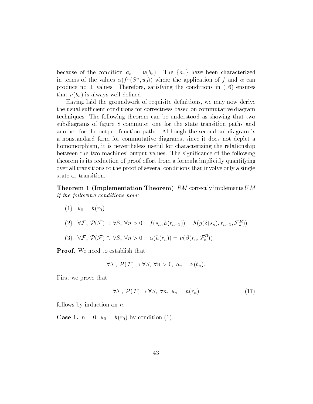because of the condition  $a_n = \nu(b_n)$ . The  $\{a_n\}$  have been characterized in terms of the values  $\alpha(f^*(S^*,u_0))$  where the application of f and  $\alpha$  can produce no  $\perp$  values. Therefore, satisfying the conditions in (16) ensures that  $\nu(b_n)$  is always well defined.

Having laid the groundwork of requisite definitions, we may now derive the usual sufficient conditions for correctness based on commutative diagram techniques. The following theorem can be understood as showing that two subdiagrams of figure 8 commute: one for the state transition paths and another for the output function paths. Although the second subdiagram is a nonstandard form for commutative diagrams, since it does not depict a homomorphism, it is nevertheless useful for characterizing the relationship between the two machines' output values. The signicance of the following theorem is its reduction of proof effort from a formula implicitly quantifying over all transitions to the proof of several conditions that involve only a single state or transition.

**Theorem 1 (Implementation Theorem)**  $RM$  correctly implements  $UM$ if the following conditions hold:

- $(1)$   $u_0 = h(r_0)$
- $(2) \quad \forall \mathcal{F}, \ \mathcal{F}(\mathcal{F}) \supset \forall s, \ \forall n \geq 0 : \ f(s_n, n(r_{n-1})) = n(g(o(s_n), r_{n-1}, \mathcal{F}_n))$
- (3)  $\forall \mathcal{F}, \mathcal{F}(\mathcal{F}) \supset \forall \mathcal{S}, \forall n \geq 0 : \alpha(n(r_n)) = \nu(\beta(r_n, \mathcal{F}_n))$

Proof. We need to establish that

$$
\forall \mathcal{F}, \ \mathcal{P}(\mathcal{F}) \supset \forall S, \ \forall n > 0, \ a_n = \nu(b_n).
$$

First we prove that

$$
\forall \mathcal{F}, \ \mathcal{P}(\mathcal{F}) \supset \forall S, \ \forall n, \ u_n = h(r_n) \tag{17}
$$

follows by induction on  $n$ .

**Case 1.**  $n = 0$ .  $u_0 = h(r_0)$  by condition (1).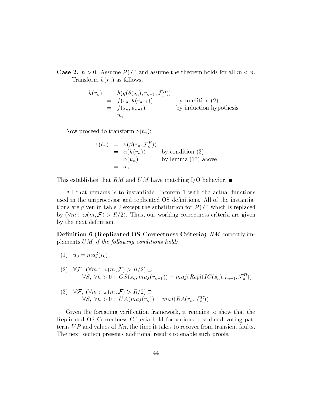**Case 2.**  $n > 0$ . Assume  $\mathcal{P}(\mathcal{F})$  and assume the theorem holds for all  $m < n$ . Transform  $h(r_n)$  as follows.

$$
h(r_n) = h(g(\delta(s_n), r_{n-1}, \mathcal{F}_n^R))
$$
  
=  $f(s_n, h(r_{n-1}))$  by condition (2)  
=  $f(s_n, u_{n-1})$  by induction hypothesis  
=  $u_n$ 

Now proceed to transform  $\nu(b_n)$ :

$$
\nu(b_n) = \nu(\beta(r_n, \mathcal{F}_n^R))
$$
  
=  $\alpha(h(r_n))$  by condition (3)  
=  $\alpha(u_n)$  by lemma (17) above  
=  $a_n$ 

This establishes that RM and UM have matching I/O behavior.  $\blacksquare$ 

All that remains is to instantiate Theorem 1 with the actual functions used in the uniprocessor and replicated OS denitions. All of the instantiations are given in table 2 except the substitution for  $\mathcal{P}(\mathcal{F})$  which is replaced by  $(\forall m : \omega(m, \mathcal{F}) > R/2)$ . Thus, our working correctness criteria are given by the next definition.

Definition 6 (Replicated OS Correctness Criteria) RM correctly implements  $UM$  if the following conditions hold:

- $(1)$   $u_0 = maj(r_0)$
- (2)  $\forall \mathcal{F}, (\forall m : \omega(m, \mathcal{F}) > R/2) \supset$  $\forall S, \forall n \geq 0: \; \mathcal{O}_S(s_n, maj(r_{n-1})) = maj(Rep((IC(s_n), r_{n-1}, \mathcal{F}_n))$
- (3)  $\forall \mathcal{F}, (\forall m : \omega(m, \mathcal{F}) > R/2) \supset$  $\forall s, \forall n > 0 : U A(maj(r_n)) = maj(RA(r_n, \mathcal{F}_n))$

Given the foregoing verication framework, it remains to show that the Replicated OS Correctness Criteria hold for various postulated voting patterns  $VP$  and values of  $N_R$ , the time it takes to recover from transient faults. The next section presents additional results to enable such proofs.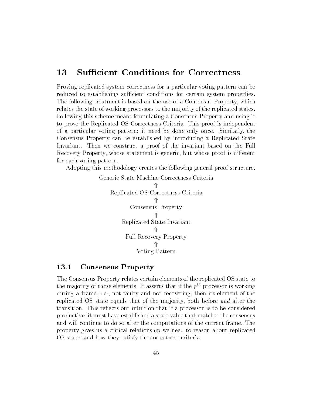### 13 Sufficient Conditions for Correctness

Proving replicated system correctness for a particular voting pattern can be reduced to establishing sufficient conditions for certain system properties. The following treatment is based on the use of a Consensus Property, which relates the state of working processors to the ma jority of the replicated states. Following this scheme means formulating a Consensus Property and using it to prove the Replicated OS Correctness Criteria. This proof is independent of a particular voting pattern; it need be done only once. Similarly, the Consensus Property can be established by introducing a Replicated State Invariant. Then we construct a proof of the invariant based on the Full Recovery Property, whose statement is generic, but whose proof is different for each voting pattern.

Adopting this methodology creates the following general proof structure.

Generic State Machine Correctness Criteria 11 Replicated OS Correctness Criteria 11 Consensus Property  $\Uparrow$ Replicated State Invariant  $\Uparrow$ Full Recovery Property  $\Uparrow$ Voting Pattern

#### 13.1 **Consensus Property**

The Consensus Property relates certain elements of the replicated OS state to the majority of those elements. It asserts that if the  $p^{th}$  processor is working during a frame, i.e., not faulty and not recovering, then its element of the replicated OS state equals that of the majority, both before and after the transition. This re
ects our intuition that if a processor is to be considered productive, it must have established a state value that matches the consensus and will continue to do so after the computations of the current frame. The property gives us a critical relationship we need to reason about replicated OS states and how they satisfy the correctness criteria.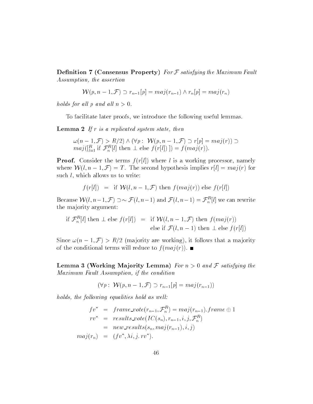**Definition 7 (Consensus Property)** For  $F$  satisfying the Maximum Fault Assumption, the assertion

$$
\mathcal{W}(p, n-1, \mathcal{F}) \supset r_{n-1}[p] = maj(r_{n-1}) \wedge r_n[p] = maj(r_n)
$$

holds for all p and all  $n > 0$ .

To facilitate later proofs, we introduce the following useful lemmas.

**Lemma 2** If  $r$  is a replicated system state, then

!(n 1; F) > R=2) ^ (8p : W(p; n 1; F) r[p] = maj(r))  $mag$ <sub>([ $\bar{l}=1$  if  $\mathcal{F}_n^{-}[l]$  then  $\perp$  else  $f(r[l])$ ]) =  $f(maj(r))$ .</sub>

**Proof.** Consider the terms  $f(r[l])$  where l is a working processor, namely where  $W(l, n - 1, \mathcal{F}) = T$ . The second hypothesis implies  $r[l] = maj(r)$  for such *l*, which allows us to write:

$$
f(r[l]) = \text{if } \mathcal{W}(l, n-1, \mathcal{F}) \text{ then } f(maj(r)) \text{ else } f(r[l])
$$

Because  $\mathcal{W}(l, n-1, \mathcal{F}) \supset \sim \mathcal{F}(l, n-1)$  and  $\mathcal{F}(l, n-1) = \mathcal{F}_n^{\sim}[l]$  we can rewrite the ma jority argument:

if 
$$
\mathcal{F}_n^R[l]
$$
 then  $\perp$  else  $f(r[l]) =$  if  $\mathcal{W}(l, n-1, \mathcal{F})$  then  $f(maj(r))$   
else if  $\mathcal{F}(l, n-1)$  then  $\perp$  else  $f(r[l])$ 

Since  $\omega(n - 1, \mathcal{F}) > R/2$  (majority are working), it follows that a majority of the conditional terms will reduce to  $f(maj(r))$ .

**Lemma 3 (Working Majority Lemma)** For  $n > 0$  and F satisfying the Maximum Fault Assumption, if the condition

 $(\forall p: \mathcal{W}(p, n-1, \mathcal{F}) \supset r_{n-1}[p] = maj(r_{n-1}))$ 

holds, the following equalities hold as well:

$$
fv^* = frame\_vote(r_{n-1}, \mathcal{F}_n^R) = maj(r_{n-1}).frame \oplus 1
$$
  
\n
$$
rv^* = results\_vote(IC(s_n), r_{n-1}, i, j, \mathcal{F}_n^R)
$$
  
\n
$$
= new\_results(s_n, maj(r_{n-1}), i, j)
$$
  
\n
$$
maj(r_n) = (fv^*, \lambda i, j, rv^*).
$$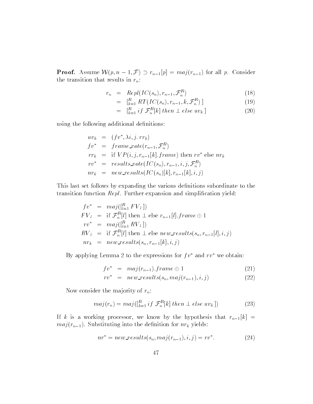**Proof.** Assume  $W(p, n-1, \mathcal{F}) \supset r_{n-1}[p] = maj(r_{n-1})$  for all p. Consider the transition that results in  $r_n$ :

$$
r_n = Repl(IC(s_n), r_{n-1}, \mathcal{F}_n^R) \tag{18}
$$

$$
= [R_{k=1}^{R} RT(IC(s_n), r_{n-1}, k, \mathcal{F}_n^R)] \tag{19}
$$

$$
= \left[ \begin{array}{c} R \\ k=1 \end{array} \right] \text{ if } \mathcal{F}_n^R[k] \text{ then } \perp \text{ else } uv_k \text{ } \right] \tag{20}
$$

using the following additional definitions:

$$
uv_k = (fv^*, \lambda i, j. rr_k)
$$
  
\n
$$
fv^* = frame\_vote(r_{n-1}, \mathcal{F}_n^R)
$$
  
\n
$$
rr_k = \text{if } VP(i, j, r_{n-1}[k].frame) \text{ then } rv^* \text{ else } nr_k
$$
  
\n
$$
rv^* = results\_vote(IC(s_n), r_{n-1}, i, j, \mathcal{F}_n^R)
$$
  
\n
$$
nr_k = new\_results(IC(s_n)[k], r_{n-1}[k], i, j)
$$

This last set follows by expanding the various definitions subordinate to the transition function  $Repl$ . Further expansion and simplification yield:

$$
fv^* = maj([_{l=1}^R FV_l])
$$
  
\n
$$
FV_l = \text{if } \mathcal{F}_n^R[l] \text{ then } \perp \text{ else } r_{n-1}[l].frame \oplus 1
$$
  
\n
$$
rv^* = maj([_{l=1}^R RV_l])
$$
  
\n
$$
RV_l = \text{if } \mathcal{F}_n^R[l] \text{ then } \perp \text{ else } new\_results(s_n, r_{n-1}[l], i, j)
$$
  
\n
$$
nr_k = new\_results(s_n, r_{n-1}[k], i, j)
$$

By applying Lemma 2 to the expressions for  $f v^*$  and  $r v^*$  we obtain:

$$
fv^* = maj(r_{n-1}).frame \oplus 1
$$
 (21)

$$
rv^* = new\_results(s_n, maj(r_{n-1}), i, j) \tag{22}
$$

Now consider the majority of  $r_n$ :

$$
maj(r_n) = maj([_{k=1}^R if \mathcal{F}_n^R[k] then \perp else uv_k])
$$
\n(23)

If k is a working processor, we know by the hypothesis that  $r_{n-1}[k]$  =  $maj(r_{n-1})$ . Substituting into the definition for  $nr_k$  yields:

$$
nr^* = new\_results(s_n, maj(r_{n-1}), i, j) = rv^*.
$$
\n<sup>(24)</sup>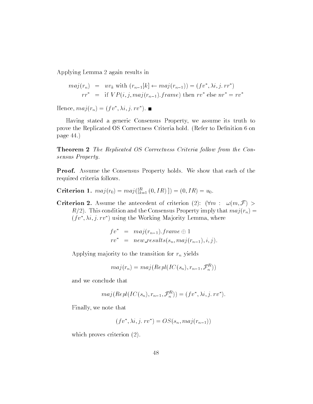Applying Lemma 2 again results in

$$
maj(r_n) = uv_k \text{ with } (r_{n-1}[k] \leftarrow maj(r_{n-1})) = (fv^*, \lambda i, j. rr^*)
$$
  

$$
rr^* = \text{if } VP(i, j, maj(r_{n-1}).frame) \text{ then } rv^* \text{ else } nr^* = rv^*
$$

 $n = \prod_{i=1}^n r_i$  and  $r_i = (f \circ \pi, \pi, f \circ \pi, f \circ \pi)$ .

Having stated a generic Consensus Property, we assume its truth to prove the Replicated OS Correctness Criteria hold. (Refer to Definition 6 on page 44.)

Theorem 2 The Replicated OS Correctness Criteria follow from the Consensus Property.

Proof. Assume the Consensus Property holds. We show that each of the required criteria follows.

Criterion 1.  $maj(r_0) = maj(|\vec{k}=1}(0,1R)) = (0,1R) = u_0.$ 

Criterion 2. Assume the antecedent of criterion (2):  $(\forall m : \omega(m, \mathcal{F}) >$  $R/2$ . This condition and the Consensus Property imply that  $maj(r_n) =$  $(fv, \lambda i, j, rv)$  using the Working Majority Lemma, where

$$
fv^* = maj(r_{n-1}).frame \oplus 1
$$
  

$$
rv^* = new\_results(s_n, maj(r_{n-1}), i, j)
$$

Applying majority to the transition for  $r_n$  yields

$$
maj(r_n)=maj(Repl(IC(s_n),r_{n-1},\mathcal{F}^R_n))
$$

and we conclude that

$$
maj(Repl(IC(s_n), r_{n-1}, \mathcal{F}_n^R)) = (fv^*, \lambda i, j. rv^*).
$$

Finally, we note that

$$
(fv^*, \lambda i, j. rv^*) = OS(s_n, maj(r_{n-1}))
$$

which proves criterion (2).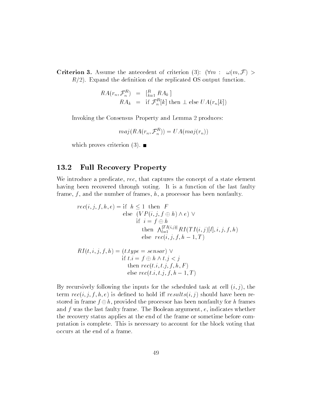**Criterion 3.** Assume the antecedent of criterion (3):  $(\forall m : \omega(m, \mathcal{F}) >$  $R/2$ ). Expand the definition of the replicated OS output function.

$$
RA(r_n, \mathcal{F}_n^R) = \left[\begin{matrix} R \\ k=1 \end{matrix} RA_k \right]
$$
  

$$
RA_k = \text{if } \mathcal{F}_n^R[k] \text{ then } \perp \text{ else } UA(r_n[k])
$$

Invoking the Consensus Property and Lemma 2 produces:

$$
maj(RA(r_n, \mathcal{F}_n^R)) = UA(maj(r_n))
$$

which proves criterion  $(3)$ .

### 13.2 Full Recovery Property

We introduce a predicate, rec, that captures the concept of a state element having been recovered through voting. It is a function of the last faulty frame,  $f$ , and the number of frames,  $h$ , a processor has been nonfaulty.

$$
rec(i, j, f, h, e) = \text{if } h \le 1 \text{ then } F
$$
  
\nelse  $(VP(i, j, f \oplus h) \land e) \lor$   
\nif  $i = f \oplus h$   
\nthen  $\bigwedge_{l=1}^{|TI(i,j)|} RI(TI(i,j)[l], i, j, f, h)$   
\nelse  $rec(i, j, f, h - 1, T)$ 

$$
RI(t, i, j, f, h) = (t.\text{type} = sensor) \vee
$$
  
if  $t.i = f \oplus h \wedge t.j < j$   
then  $rec(t.i, t.j, f, h, F)$   
else  $rec(t.i, t.j, f, h - 1, T)$ 

By recursively following the inputs for the scheduled task at cell  $(i, j)$ , the term  $rec(i, j, f, h, e)$  is defined to hold iff  $results(i, j)$  should have been restored in frame  $f \oplus h$ , provided the processor has been nonfaulty for h frames and  $f$  was the last faulty frame. The Boolean argument,  $e$ , indicates whether the recovery status applies at the end of the frame or sometime before computation is complete. This is necessary to account for the block voting that occurs at the end of a frame.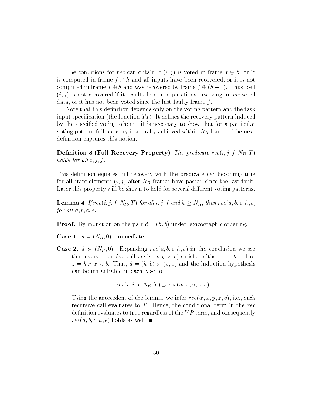The conditions for rec can obtain if  $(i, j)$  is voted in frame  $f \oplus h$ , or it is computed in frame  $f \oplus h$  and all inputs have been recovered, or it is not computed in frame  $f \oplus h$  and was recovered by frame  $f \oplus (h-1)$ . Thus, cell  $(i, j)$  is not recovered if it results from computations involving unrecovered data, or it has not been voted since the last faulty frame f.

Note that this definition depends only on the voting pattern and the task input specification (the function  $TI$ ). It defines the recovery pattern induced by the specied voting scheme; it is necessary to show that for a particular voting pattern full recovery is actually achieved within  $N_R$  frames. The next definition captures this notion.

Definition 8 (Full Recovery Property) The predicate  $rec(i, j, f, N_R, T)$ holds for all  $i, j, f$ .

This definition equates full recovery with the predicate rec becoming true for all state elements  $(i, j)$  after  $N_R$  frames have passed since the last fault. Later this property will be shown to hold for several different voting patterns.

**Lemma 4** If  $rec(i, j, f, N_R, T)$  for all  $i, j, f$  and  $h \geq N_R$ , then  $rec(a, b, c, h, e)$ for all  $a, b, c, e$ .

**Proof.** By induction on the pair  $d = (h, b)$  under lexicographic ordering.

**Case 1.**  $d = (N_R, 0)$ . Immediate.

**Case 2.**  $d \succ (N_R, 0)$ . Expanding  $rec(a, b, c, h, e)$  in the conclusion we see that every recursive call  $rec(w, x, y, z, v)$  satisfies either  $z = h - 1$  or  $z = h \wedge x < b$ . Thus,  $d = (h, b) \succ (z, x)$  and the induction hypothesis can be instantiated in each case to

 $rec(i, j, f, N_B, T) \supset rec(w, x, y, z, v).$ 

Using the antecedent of the lemma, we infer  $rec(w, x, y, z, v)$ , i.e., each recursive call evaluates to  $T$ . Hence, the conditional term in the rec definition evaluates to true regardless of the  $VP$  term, and consequently  $rec(a, b, c, h, e)$  holds as well.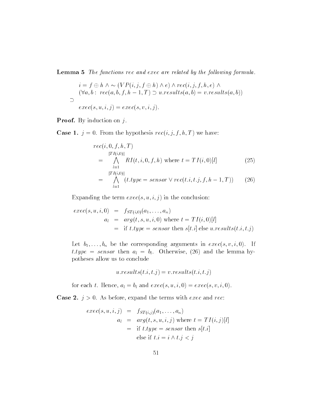**Lemma 5** The functions rec and exec are related by the following formula.

$$
i = f \oplus h \land \sim (VP(i, j, f \oplus h) \land e) \land rec(i, j, f, h, e) \land
$$
  

$$
(\forall a, b: rec(a, b, f, h-1, T) \supset u.results(a, b) = v.results(a, b))
$$
  

$$
\supset
$$
  

$$
exec(s, u, i, j) = exec(s, v, i, j).
$$

**Proof.** By induction on  $j$ .

**Case 1.**  $j = 0$ . From the hypothesis  $rec(i, j, f, h, T)$  we have:

$$
rec(i, 0, f, h, T)
$$
  
=  $\bigwedge_{l=1}^{|TI(i,0)|} RI(t, i, 0, f, h)$  where  $t = TI(i, 0)[l]$  (25)  
=  $\bigwedge_{l=1}^{|TI(i,0)|} (t.\text{type} = sensor \vee rec(t.i, t.j, f, h-1, T))$  (26)

Expanding the term  $exec(s, u, i, j)$  in the conclusion:

$$
exec(s, u, i, 0) = f_{ST(i,0)}(a_1, \dots, a_n)
$$
  
\n
$$
a_l = arg(t, s, u, i, 0) \text{ where } t = TI(i, 0)[l]
$$
  
\n
$$
= \text{if } t.\text{type} = sensor \text{ then } s[t.i] \text{ else } u.\text{results}(t.i, t.j)
$$

Let  $b_1, \ldots, b_n$  be the corresponding arguments in  $exec(s, v, i, 0)$ . If  $t.type = sensor$  then  $a_l = b_l$ . Otherwise, (26) and the lemma hypotheses allow us to conclude

$$
u.\mathit{results}(t.i,t.j) = v.\mathit{results}(t.i,t.j)
$$

for each t. Hence,  $a_l = b_l$  and  $exec(s, u, i, 0) = exec(s, v, i, 0)$ .

**Case 2.**  $j > 0$ . As before, expand the terms with *exec* and *rec*:

$$
exec(s, u, i, j) = f_{ST(i,j)}(a_1, \dots, a_n)
$$
  
\n
$$
a_l = arg(t, s, u, i, j) \text{ where } t = TI(i, j)[l]
$$
  
\n
$$
= \text{if } t.\text{type} = sensor \text{ then } s[t.i]
$$
  
\n
$$
\text{else if } t.i = i \land t.j < j
$$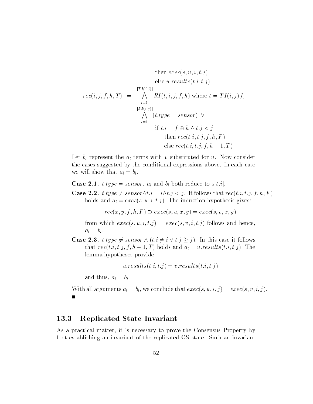then 
$$
exec(s, u, i, t.j)
$$
  
\nelse  $u.readits(t.i, t.j)$   
\n
$$
rec(i, j, f, h, T) = \bigwedge_{l=1}^{|TI(i,j)|} RI(t, i, j, f, h) \text{ where } t = TI(i, j)[l]
$$
\n
$$
= \bigwedge_{l=1}^{|TI(i,j)|} (t.type = sensor) \vee
$$
\nif  $t.i = f \oplus h \wedge t.j < j$   
\nthen  $rec(t.i, t.j, f, h, F)$   
\nelse  $rec(t.i, t.j, f, h - 1, T)$ 

Let  $b_l$  represent the  $a_l$  terms with v substituted for u. Now consider the cases suggested by the conditional expressions above. In each case we will show that  $a_l = b_l$ .

**Case 2.1.** t.type = sensor.  $a_l$  and  $b_l$  both reduce to  $s[t,i]$ .

**Case 2.2.**  $t:type \neq sensor \wedge t.i = i \wedge t.j < j$ . It follows that  $rec(t.i, t.j, f, h, F )$ holds and  $a_l = exec(s, u, i, t, j)$ . The induction hypothesis gives:

 $rec(x, y, f, h, F) \supset exec(s, u, x, y) = exec(s, v, x, y)$ 

from which  $exec(s, u, i, t, j) = exec(s, v, i, t, j)$  follows and hence,  $a_l = b_l.$ 

**Case 2.3.** t.type  $\neq$  sensor  $\land$   $(t:i \neq i \lor t:j \geq j)$ . In this case it follows that  $rec(t.i, t.j, f, h-1, T)$  holds and  $a_l = u$  results $(t.i, t.j)$ . The lemma hypotheses provide

 $u:results(t,i,t,j) = v:results(t,i,t,j)$ 

and thus,  $a_l = b_l$ .

With all arguments  $a_l = b_l$ , we conclude that  $exec(s, u, i, j) = exec(s, v, i, j)$ .

### 13.3 Replicated State Invariant

As a practical matter, it is necessary to prove the Consensus Property by first establishing an invariant of the replicated OS state. Such an invariant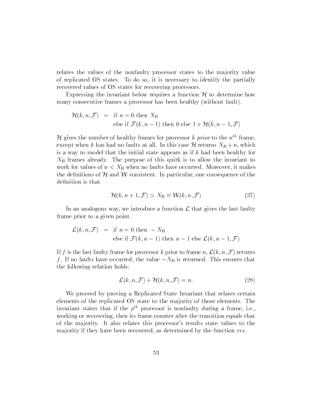relates the values of the nonfaulty processor states to the majority value of replicated OS states. To do so, it is necessary to identify the partially recovered values of OS states for recovering processors.

Expressing the invariant below requires a function  $\mathcal H$  to determine how many consecutive frames a processor has been healthy (without fault).

$$
\mathcal{H}(k, n, \mathcal{F}) = \text{if } n = 0 \text{ then } N_R
$$
  
else if  $\mathcal{F}(k, n - 1)$  then 0 else  $1 + \mathcal{H}(k, n - 1, \mathcal{F})$ 

H gives the number of healthy frames for processor k prior to the  $n^{th}$  frame. except when k has had no faults at all. In this case  $\mathcal{H}$  returns  $N_R + n$ , which is a way to model that the initial state appears as if  $k$  had been healthy for  $N_R$  frames already. The purpose of this quirk is to allow the invariant to work for values of  $n < N_R$  when no faults have occurred. Moreover, it makes the definitions of  $H$  and  $W$  consistent. In particular, one consequence of the definition is that

$$
\mathcal{H}(k, n+1, \mathcal{F}) > N_R \equiv \mathcal{W}(k, n, \mathcal{F})
$$
\n<sup>(27)</sup>

In an analogous way, we introduce a function  $\mathcal L$  that gives the last faulty frame prior to a given point.

$$
\mathcal{L}(k, n, \mathcal{F}) = \text{if } n = 0 \text{ then } -N_R
$$
  
else if  $\mathcal{F}(k, n-1)$  then  $n-1$  else  $\mathcal{L}(k, n-1, \mathcal{F})$ 

If f is the last faulty frame for processor k prior to frame n,  $\mathcal{L}(k, n, \mathcal{F})$  returns f. If no faults have occurred, the value  $-N_R$  is returned. This ensures that the following relation holds:

$$
\mathcal{L}(k, n, \mathcal{F}) + \mathcal{H}(k, n, \mathcal{F}) = n.
$$
 (28)

We proceed by proving a Replicated State Invariant that relates certain elements of the replicated OS state to the ma jority of those elements. The invariant states that if the  $p^{th}$  processor is nonfaulty during a frame, i.e., working or recovering, then its frame counter after the transition equals that of the ma jority. It also relates this processor's results state values to the majority if they have been recovered, as determined by the function rec.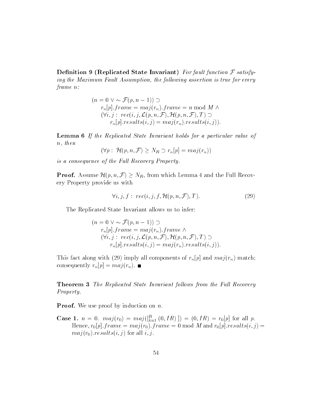Definition 9 (Replicated State Invariant) For fault function  $\mathcal F$  satisfying the Maximum Fault Assumption, the following assertion is true for every frame n:

$$
(n = 0 \lor \sim \mathcal{F}(p, n - 1)) \supset
$$
  
\n
$$
r_n[p].frame = maj(r_n).frame = n \mod M \land
$$
  
\n
$$
(\forall i, j : rec(i, j, \mathcal{L}(p, n, \mathcal{F}), \mathcal{H}(p, n, \mathcal{F}), T) \supset
$$
  
\n
$$
r_n[p].results(i, j) = maj(r_n).results(i, j)).
$$

Lemma 6 If the Replicated State Invariant holds for a particular value of n, then

$$
(\forall p: \mathcal{H}(p,n,\mathcal{F}) \ge N_R \supset r_n[p] = maj(r_n))
$$

is a consequence of the Full Recovery Property.

**Proof.** Assume  $\mathcal{H}(p, n, \mathcal{F}) \geq N_R$ , from which Lemma 4 and the Full Recovery Property provide us with

$$
\forall i, j, f: \text{rec}(i, j, f, \mathcal{H}(p, n, \mathcal{F}), T). \tag{29}
$$

The Replicated State Invariant allows us to infer:

$$
(n = 0 \lor \sim \mathcal{F}(p, n - 1)) \supset
$$
  
\n
$$
r_n[p].frame = maj(r_n).frame \land
$$
  
\n
$$
(\forall i, j : rec(i, j, \mathcal{L}(p, n, \mathcal{F}), \mathcal{H}(p, n, \mathcal{F}), T) \supset
$$
  
\n
$$
r_n[p].results(i, j) = maj(r_n).results(i, j)).
$$

This fact along with (29) imply all components of  $r_n[p]$  and  $maj(r_n)$  match; consequently  $r_n[p] = maj(r_n)$ .

**Theorem 3** The Replicated State Invariant follows from the Full Recovery Property.

**Proof.** We use proof by induction on  $n$ .

**Case 1.**  $n = 0$ .  $maj(r_0) = mag(\frac{r}{k-1}(0,1R)) = (0,1R) = r_0[p]$  for all p. Hence,  $r_0[p]$ : frame = maj(r<sub>0</sub>): frame = 0 mod M and  $r_0[p]$ . results(i, j) =  $maj(r_0).results(i, j)$  for all  $i, j$ .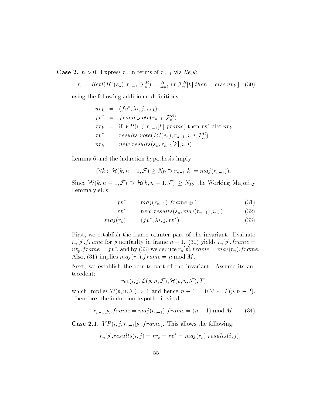**Case 2.**  $n > 0$ . Express  $r_n$  in terms of  $r_{n-1}$  via Repl:

$$
r_n = Repl(IC(s_n), r_{n-1}, \mathcal{F}_n^R) = \left[\begin{matrix} R \\ k=1 \end{matrix} if \mathcal{F}_n^R[k] \text{ then } \perp \text{ else } uv_k \right] \tag{30}
$$

using the following additional definitions:

$$
uv_k = (fv^*, \lambda i, j. rr_k)
$$
  
\n
$$
fv^* = frame\_vote(r_{n-1}, \mathcal{F}_n^R)
$$
  
\n
$$
rr_k = \text{if } VP(i, j, r_{n-1}[k].frame) \text{ then } rv^* \text{ else } nr_k
$$
  
\n
$$
rv^* = results\_vote(IC(s_n), r_{n-1}, i, j, \mathcal{F}_n^R)
$$
  
\n
$$
nr_k = new\_results(s_n, r_{n-1}[k], i, j)
$$

Lemma 6 and the induction hypothesis imply:

$$
(\forall k : \mathcal{H}(k, n-1, \mathcal{F}) \geq N_R \supset r_{n-1}[k] = maj(r_{n-1})).
$$

Since  $W(k, n-1, \mathcal{F}) \supset \mathcal{H}(k, n-1, \mathcal{F}) \geq N_R$ , the Working Majority Lemma yields

$$
fv^* = maj(r_{n-1}).frame \oplus 1 \tag{31}
$$

$$
rv^* = new\_results(s_n, maj(r_{n-1}), i, j) \tag{32}
$$

$$
maj(r_n) = (fv^*, \lambda i, j. rv^*)
$$
\n(33)

First, we establish the frame counter part of the invariant. Evaluate  $r_n[p]$ : frame for p nonfaulty in frame  $n-1$ . (30) yields  $r_n[p]$ : frame  $uv_p$ : f rame  $=$  f v, and by (53) we deduce  $r_n[p]$ : f rame  $=$  maj( $r_n$ ): f rame. Also, (31) implies  $maj(r_n)$ . frame = n mod M.

Next, we establish the results part of the invariant. Assume its antecedent:

$$
rec(i,j,\mathcal{L}(p,n,\mathcal{F}),\mathcal{H}(p,n,\mathcal{F}),T)
$$

which implies  $\mathcal{H}(p, n, \mathcal{F}) > 1$  and hence  $n - 1 = 0 \vee \sim \mathcal{F}(p, n - 2)$ . Therefore, the induction hypothesis yields

$$
r_{n-1}[p].frame = maj(r_{n-1}).frame = (n-1) mod M.
$$
 (34)

**Case 2.1.**  $VP(i, j, r_{n-1}[p].frame)$ . This allows the following:

 $r_n[p].results(i,j) = rr_p = rv^* = maj(r_n).results(i,j).$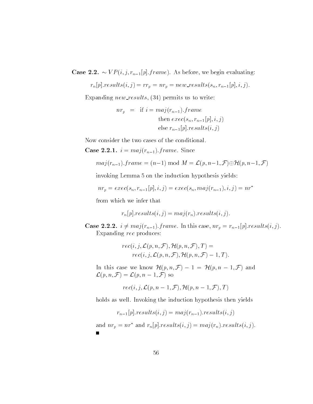**Case 2.2.**  $\sim VP(i, j, r_{n-1}[p].frame)$ . As before, we begin evaluating:

$$
r_n[p].results(i,j) = rr_p = nr_p = new\_results(s_n, r_{n-1}[p], i, j).
$$

Expanding new results,  $(34)$  permits us to write:

$$
nr_p = if i = maj(r_{n-1}).frame
$$
  
then 
$$
exec(s_n, r_{n-1}[p], i, j)
$$
  
else 
$$
r_{n-1}[p].results(i, j)
$$

Now consider the two cases of the conditional.

Case 2.2.1.  $i = maj(r_{n-1}).frame.$  Since

$$
maj(r_{n-1}).frame = (n-1) mod M = \mathcal{L}(p, n-1, \mathcal{F}) \oplus \mathcal{H}(p, n-1, \mathcal{F})
$$

invoking Lemma 5 on the induction hypothesis yields:

$$
nr_p = exec(s_n, r_{n-1}[p], i, j) = exec(s_n, maj(r_{n-1}), i, j) = nr^*
$$

from which we infer that

$$
r_n[p].results(i,j) = maj(r_n).results(i,j).
$$

**Case 2.2.2.**  $i \neq maj(r_{n-1}).frame.$  In this case,  $nr_p = r_{n-1}[p].results(i, j).$ Expanding rec produces:

$$
rec(i, j, \mathcal{L}(p, n, \mathcal{F}), \mathcal{H}(p, n, \mathcal{F}), T) =
$$
  

$$
rec(i, j, \mathcal{L}(p, n, \mathcal{F}), \mathcal{H}(p, n, \mathcal{F}) - 1, T).
$$

In this case we know  $\mathcal{H}(p,n,\mathcal{F})-1 = \mathcal{H}(p,n-1,\mathcal{F})$  and  $\mathcal{L}(p, n, \mathcal{F}) = \mathcal{L}(p, n-1, \mathcal{F})$  so

$$
rec(i,j,\mathcal{L}(p,n-1,\mathcal{F}),\mathcal{H}(p,n-1,\mathcal{F}),T)
$$

holds as well. Invoking the induction hypothesis then yields

$$
r_{n-1}[p].results(i,j) = maj(r_{n-1}).results(i,j)
$$

and  $nr_p = nr^*$  and  $r_n[p].results(i, j) = maj(r_n).results(i, j).$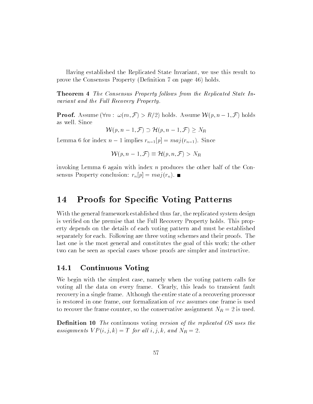Having established the Replicated State Invariant, we use this result to prove the Consensus Property (Definition 7 on page 46) holds.

**Theorem 4** The Consensus Property follows from the Replicated State Invariant and the Full Recovery Property.

**Proof.** Assume  $(\forall m : \omega(m, \mathcal{F}) > R/2)$  holds. Assume  $\mathcal{W}(p, n-1, \mathcal{F})$  holds as well. Since

 $W(p, n-1, \mathcal{F}) \supset \mathcal{H}(p, n-1, \mathcal{F}) \geq N_R$ 

Lemma 6 for index  $n-1$  implies  $r_{n-1}[p] = maj(r_{n-1})$ . Since

$$
\mathcal{W}(p, n-1, \mathcal{F}) \equiv \mathcal{H}(p, n, \mathcal{F}) > N_R
$$

invoking Lemma 6 again with index n produces the other half of the Consensus Property conclusion:  $r_n[p] = maj(r_n)$ .

## 14 Proofs for Specic Voting Patterns

With the general framework established thus far, the replicated system design is verified on the premise that the Full Recovery Property holds. This property depends on the details of each voting pattern and must be established separately for each. Following are three voting schemes and their proofs. The last one is the most general and constitutes the goal of this work; the other two can be seen as special cases whose proofs are simpler and instructive.

### 14.1 Continuous Voting

We begin with the simplest case, namely when the voting pattern calls for voting all the data on every frame. Clearly, this leads to transient fault recovery in a single frame. Although the entire state of a recovering processor is restored in one frame, our formalization of rec assumes one frame is used to recover the frame counter, so the conservative assignment  $N_R = 2$  is used.

**Definition 10** The continuous voting version of the replicated OS uses the assignments  $VP(i, j, k) = T$  for all  $i, j, k$ , and  $N_R = 2$ .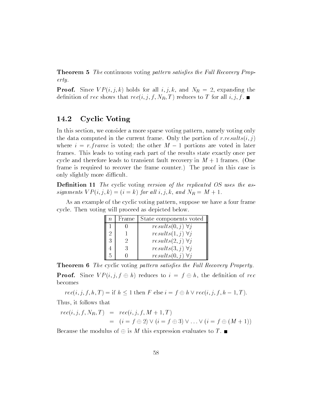**Theorem 5** The continuous voting pattern satisfies the Full Recovery Property.

**Proof.** Since  $VP(i, j, k)$  holds for all  $i, j, k$ , and  $N_R = 2$ , expanding the definition of rec shows that  $rec(i, j, f, N_R, T)$  reduces to T for all  $i, j, f$ .

### 14.2 Cyclic Voting

In this section, we consider a more sparse voting pattern, namely voting only the data computed in the current frame. Only the portion of  $r:results(i, j)$ where  $i = r$  frame is voted; the other  $M - 1$  portions are voted in later frames. This leads to voting each part of the results state exactly once per cycle and therefore leads to transient fault recovery in  $M + 1$  frames. (One frame is required to recover the frame counter.) The proof in this case is only slightly more difficult.

**Definition 11** The cyclic voting version of the replicated OS uses the assignments  $VP(i, j, k) = (i = k)$  for all  $i, j, k$ , and  $N_R = M + 1$ .

As an example of the cyclic voting pattern, suppose we have a four frame cycle. Then voting will proceed as depicted below.

| Frame    | State components voted       |
|----------|------------------------------|
|          | $results(0, j) \; \forall j$ |
|          | $results(1, j) \; \forall j$ |
| $\Omega$ | $results(2,j) \; \forall j$  |
| 3        | $results(3, j) \; \forall j$ |
|          | $results(0,j) \; \forall j$  |

**Theorem 6** The cyclic voting pattern satisfies the Full Recovery Property. **Proof.** Since  $VP(i, j, f \oplus h)$  reduces to  $i = f \oplus h$ , the definition of rec becomes

 $rec(i, j, f, h, T) = \text{if } h \leq 1 \text{ then } F \text{ else } i = f \oplus h \vee rec(i, j, f, h - 1, T).$ Thus, it follows that

$$
rec(i, j, f, N_R, T) = rec(i, j, f, M + 1, T)
$$
  
=  $(i = f \oplus 2) \vee (i = f \oplus 3) \vee ... \vee (i = f \oplus (M + 1))$ 

Because the modulus of  $\oplus$  is M this expression evaluates to T.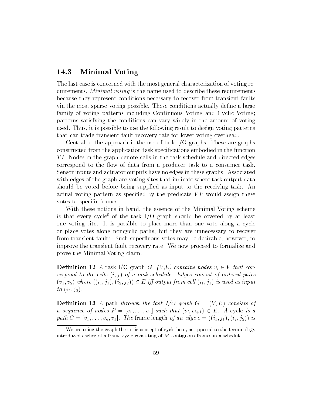### 14.3 Minimal Voting

The last case is concerned with the most general characterization of voting requirements. *Minimal voting* is the name used to describe these requirements because they represent conditions necessary to recover from transient faults via the most sparse voting possible. These conditions actually define a large family of voting patterns including Continuous Voting and Cyclic Voting; patterns satisfying the conditions can vary widely in the amount of voting used. Thus, it is possible to use the following result to design voting patterns that can trade transient fault recovery rate for lower voting overhead.

Central to the approach is the use of task  $I/O$  graphs. These are graphs constructed from the application task specications embodied in the function TI. Nodes in the graph denote cells in the task schedule and directed edges correspond to the flow of data from a producer task to a consumer task. Sensor inputs and actuator outputs have no edges in these graphs. Associated with edges of the graph are voting sites that indicate where task output data should be voted before being supplied as input to the receiving task. An actual voting pattern as specified by the predicate  $VP$  would assign these votes to specic frames.

With these notions in hand, the essence of the Minimal Voting scheme is that every cycle<sup>9</sup> of the task  $I/O$  graph should be covered by at least one voting site. It is possible to place more than one vote along a cycle or place votes along noncyclic paths, but they are unnecessary to recover from transient faults. Such superfluous votes may be desirable, however, to improve the transient fault recovery rate. We now proceed to formalize and prove the Minimal Voting claim.

**Definition 12** A task I/O graph  $G=(V,E)$  contains nodes  $v_i \in V$  that correspond to the cells  $(i, j)$  of a task schedule. Edges consist of ordered pairs  $(v_1, v_2)$  where  $((i_1, j_1), (i_2, j_2)) \in E$  iff output from cell  $(i_1, j_1)$  is used as input to  $(i_2, j_2)$ .

**Definition 13** A path through the task  $I/O$  graph  $G = (V, E)$  consists of a sequence of nodes  $P = [v_1, \ldots, v_n]$  such that  $(v_i, v_{i+1}) \in E$ . A cycle is a path  $C = [v_1, \ldots, v_n, v_1]$ . The frame length of an edge  $e = ((i_1, j_1), (i_2, j_2))$  is

 $9$ We are using the graph theoretic concept of cycle here, as opposed to the terminology introduced earlier of a frame cycle consisting of <sup>M</sup> contiguous frames in a schedule.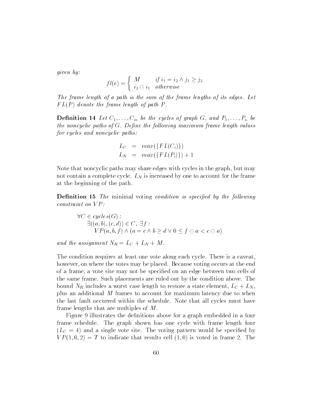given by:

$$
fl(e) = \begin{cases} M & if \ i_1 = i_2 \land j_1 \geq j_2 \\ i_2 \ominus i_1 & otherwise \end{cases}
$$

The frame length of a path is the sum of the frame lengths of its edges. Let  $FL(P)$  denote the frame length of path P.

**Definition 14** Let  $C_1, \ldots, C_m$  be the cycles of graph G, and  $P_1, \ldots, P_n$  be the noncyclic paths of  $G$ . Define the following maximum frame length values for cycles and noncyclic paths:

$$
L_C = max({F L(C_i)})
$$
  
\n
$$
L_N = max({F L(P_i)}) + 1
$$

Note that noncyclic paths may share edges with cycles in the graph, but may not contain a complete cycle.  $L<sub>N</sub>$  is increased by one to account for the frame at the beginning of the path.

**Definition 15** The minimal voting condition is specified by the following  $constraint on VP:$ 

$$
\forall C \in cycles(G):
$$
  
\n
$$
\exists ((a, b), (c, d)) \in C, \exists f :
$$
  
\n
$$
VP(a, b, f) \land (a = c \land b \ge d \lor 0 \le f \ominus a < c \ominus a)
$$

and the assignment  $N_R = L_C + L_N + M$ .

The condition requires at least one vote along each cycle. There is a caveat, however, on where the votes may be placed. Because voting occurs at the end of a frame, a vote site may not be specied on an edge between two cells of the same frame. Such placements are ruled out by the condition above. The bound  $N_R$  includes a worst case length to restore a state element,  $L_C + L_N$ , plus an additional M frames to account for maximum latency due to when the last fault occurred within the schedule. Note that all cycles must have frame lengths that are multiples of M.

Figure 9 illustrates the definitions above for a graph embedded in a four frame schedule. The graph shown has one cycle with frame length four  $(L<sub>C</sub> = 4)$  and a single vote site. The voting pattern would be specified by  $VP(1,0,2) = T$  to indicate that results cell  $(1,0)$  is voted in frame 2. The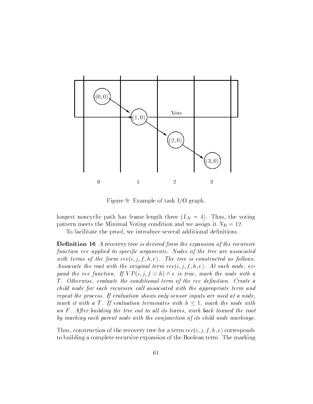

Figure 9: Example of task I/O graph.

longest noncyclic path has frame length three  $(L_N = 4)$ . Thus, the voting pattern meets the Minimal Voting condition and we assign it  $N_R = 12$ .

To facilitate the proof, we introduce several additional definitions.

**Definition 16** A recovery tree is derived from the expansion of the recursive function rec applied to specific arguments. Nodes of the tree are associated with terms of the form  $rec(i, j, f, h, e)$ . The tree is constructed as follows. Associate the root with the original term  $rec(i, j, f, h, e)$ . At each node, expand the rec function. If  $VP(i, j, f \oplus h) \wedge e$  is true, mark the node with a T. Otherwise, evaluate the conditional term of the rec definition. Create a child node for each recursive call associated with the appropriate term and repeat the process. If evaluation shows only sensor inputs are used at a node, mark it with a T. If evaluation terminates with  $h \leq 1$ , mark the node with an F. After building the tree out to all its leaves, work back toward the root by marking each parent node with the conjunction of its child node markings.

Thus, construction of the recovery tree for a term  $rec(i, j, f, h, e)$  corresponds to building a complete recursive expansion of the Boolean term. The marking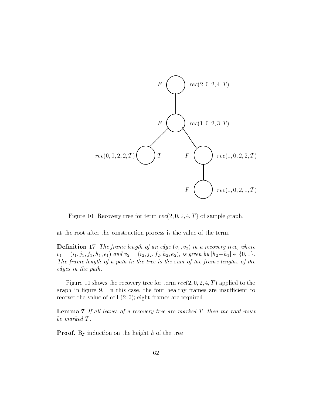

Figure 10: Recovery tree for term  $rec(2, 0, 2, 4, T)$  of sample graph.

at the root after the construction process is the value of the term.

**Definition 17** The frame length of an edge  $(v_1, v_2)$  in a recovery tree, where  $v_1 = (i_1, j_1, f_1, h_1, e_1)$  and  $v_2 = (i_2, j_2, f_2, h_2, e_2)$ , is given by  $|h_2 - h_1| \in \{0, 1\}$ . The frame length of a path in the tree is the sum of the frame lengths of the edges in the path.

Figure 10 shows the recovery tree for term  $rec(2, 0, 2, 4, T)$  applied to the graph in figure 9. In this case, the four healthy frames are insufficient to recover the value of cell  $(2,0)$ ; eight frames are required.

**Lemma 7** If all leaves of a recovery tree are marked  $T$ , then the root must be marked T .

**Proof.** By induction on the height h of the tree.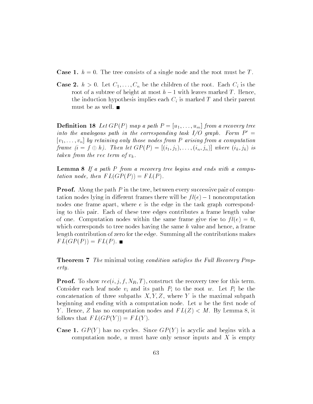**Case 1.**  $h = 0$ . The tree consists of a single node and the root must be T.

**Case 2.**  $h > 0$ . Let  $C_1, \ldots, C_n$  be the children of the root. Each  $C_i$  is the root of a subtree of height at most  $h-1$  with leaves marked T. Hence, the induction hypothesis implies each  $C_i$  is marked T and their parent must be as well.

**Definition 18** Let  $GP(P)$  map a path  $P = [u_1, \ldots, u_m]$  from a recovery tree into the analogous path in the corresponding task  $I/O$  graph. Form  $P' =$  $[v_1, \ldots, v_n]$  by retaining only those nodes from P arising from a computation frame  $(i = f \oplus h)$ . Then let  $GP(P) = [(i_1, j_1), \ldots, (i_n, j_n)]$  where  $(i_k, j_k)$  is taken from the rec term of  $v_k$ .

Lemma 8 If a path P from a recovery tree begins and ends with a computation node, then  $FL(GP(P)) = FL(P)$ .

**Proof.** Along the path  $P$  in the tree, between every successive pair of computation nodes lying in different frames there will be  $fl(e)-1$  noncomputation nodes one frame apart, where  $e$  is the edge in the task graph corresponding to this pair. Each of these tree edges contributes a frame length value of one. Computation nodes within the same frame give rise to  $fl(e) = 0$ , which corresponds to tree nodes having the same  $h$  value and hence, a frame length contribution of zero for the edge. Summing all the contributions makes  $FL(GP(P)) = FL(P).$ 

**Theorem 7** The minimal voting condition satisfies the Full Recovery Property.

**Proof.** To show  $rec(i, j, f, N_R, T)$ , construct the recovery tree for this term. Consider each leaf node  $v_i$  and its path  $P_i$  to the root w. Let  $P_i$  be the concatenation of three subpaths  $X, Y, Z$ , where Y is the maximal subpath beginning and ending with a computation node. Let  $u$  be the first node of Y. Hence, Z has no computation nodes and  $FL(Z) < M$ . By Lemma 8, it follows that  $FL(GP(Y)) = FL(Y)$ .

**Case 1.**  $GP(Y)$  has no cycles. Since  $GP(Y)$  is acyclic and begins with a computation node,  $u$  must have only sensor inputs and X is empty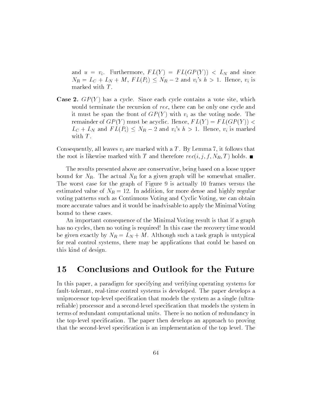and  $u = v_i$ . Furthermore,  $FL(Y) = FL(GP(Y)) < L_N$  and since  $N_R = L_C + L_N + M$ ,  $FL(P_i) \leq N_R - 2$  and  $v_i$ 's  $h > 1$ . Hence,  $v_i$  is marked with  $T$ .

**Case 2.**  $GP(Y)$  has a cycle. Since each cycle contains a vote site, which would terminate the recursion of rec, there can be only one cycle and it must be span the front of  $GP(Y)$  with  $v_i$  as the voting node. The remainder of  $GP(Y)$  must be acyclic. Hence,  $FL(Y) = FL(GP(Y))$  <  $L_C + L_N$  and  $FL(P_i) \leq N_R - 2$  and  $v_i$ 's  $h > 1$ . Hence,  $v_i$  is marked with  $T$ .

Consequently, all leaves  $v_i$  are marked with a T. By Lemma 7, it follows that the root is likewise marked with T and therefore  $rec(i, j, f, N_R, T)$  holds.

The results presented above are conservative, being based on a loose upper bound for  $N_R$ . The actual  $N_R$  for a given graph will be somewhat smaller. The worst case for the graph of Figure 9 is actually 10 frames versus the estimated value of  $N_R = 12$ . In addition, for more dense and highly regular voting patterns such as Continuous Voting and Cyclic Voting, we can obtain more accurate values and it would be inadvisable to apply the Minimal Voting bound to these cases.

An important consequence of the Minimal Voting result is that if a graph has no cycles, then no voting is required! In this case the recovery time would be given exactly by  $N_R = L_N + M$ . Although such a task graph is untypical for real control systems, there may be applications that could be based on this kind of design.

### 15 Conclusions and Outlook for the Future

In this paper, a paradigm for specifying and verifying operating systems for fault-tolerant, real-time control systems is developed. The paper develops a uniprocessor top-level specification that models the system as a single (ultrareliable) processor and a second-level specication that models the system in terms of redundant computational units. There is no notion of redundancy in the top-level specication. The paper then develops an approach to proving that the second-level specication is an implementation of the top level. The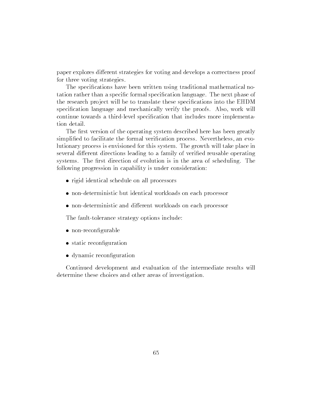paper explores different strategies for voting and develops a correctness proof for three voting strategies.

The specifications have been written using traditional mathematical notation rather than a specic formal specication language. The next phase of the research project will be to translate these specifications into the EHDM specification language and mechanically verify the proofs. Also, work will continue towards a third-level specication that includes more implementation detail.

The first version of the operating system described here has been greatly simplified to facilitate the formal verification process. Nevertheless, an evolutionary process is envisioned for this system. The growth will take place in several different directions leading to a family of verified reusable operating systems. The first direction of evolution is in the area of scheduling. The following progression in capability is under consideration:

- rigid identical schedule on all processors
- non-deterministic but identical workloads on each processor
- non-deterministic and different workloads on each processor

The fault-tolerance strategy options include:

- $\bullet$  non-reconfigurable
- static reconfiguration
- dynamic reconfiguration

Continued development and evaluation of the intermediate results will determine these choices and other areas of investigation.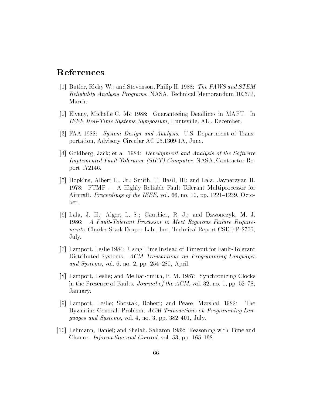## References

- [1] Butler, Ricky W.; and Stevenson, Philip H. 1988: The PAWS and STEM Reliability Analysis Programs. NASA, Technical Memorandum 100572, March.
- [2] Elvany, Michelle C. Mc 1988: Guaranteeing Deadlines in MAFT. In IEEE Real-Time Systems Symposium, Huntsville, AL., December.
- [3] FAA 1988: System Design and Analysis. U.S. Department of Transportation, Advisory Circular AC 25.1309-1A, June.
- [4] Goldberg, Jack; et al. 1984: Development and Analysis of the Software Implemented Fault-Tolerance (SIFT) Computer. NASA, Contractor Report 172146.
- [5] Hopkins, Albert L., Jr.; Smith, T. Basil, III; and Lala, Jaynarayan H. 1978: FTMP  $- A$  Highly Reliable Fault-Tolerant Multiprocessor for Aircraft. Proceedings of the IEEE, vol. 66, no. 10, pp. 1221–1239, October.
- [6] Lala, J. H.; Alger, L. S.; Gauthier, R. J.; and Dzwonczyk, M. J. 1986: A Fault-Tolerant Processor to Meet Rigorous Failure Requirements. Charles Stark Draper Lab., Inc., Technical Report CSDL-P-2705, July.
- [7] Lamport, Leslie 1984: Using Time Instead of Timeout for Fault-Tolerant Distributed Systems. ACM Transactions on Programming Languages and Systems, vol. 6, no. 2, pp.  $254-280$ , April.
- [8] Lamport, Leslie; and Melliar-Smith, P. M. 1987: Synchronizing Clocks in the Presence of Faults. Journal of the ACM, vol. 32, no. 1, pp. 52-78. January.
- [9] Lamport, Leslie; Shostak, Robert; and Pease, Marshall 1982: The Byzantine Generals Problem. ACM Transactions on Programming Languages and Systems, vol. 4, no. 3, pp.  $382-401$ , July.
- [10] Lehmann, Daniel; and Shelah, Saharon 1982: Reasoning with Time and Chance. Information and Control, vol. 53, pp.  $165{-}198$ .